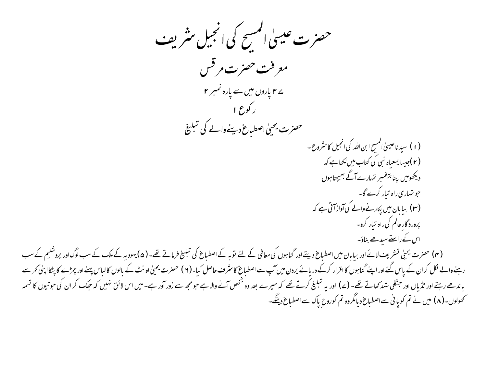حصرت عیسیٰ المسیح کی انجیل منٹر یف معرفت حصرت مرقس ے ۲ پاروں میں سے پارہ نمبر ۲ ر کورع ۱ حصرت يحيىٰ اصطباع دينے والے كى تبليغ (۱) سېد ناعيسېٰ المسح ابن الله کې انجيل کا مثروع -(۲)جیسا یسعیاہ نبی کی کتاب میں لکھاہے کہ دیکھومیں اپنا پیغمبر تہارےآگے بھیجتا ہوں حو تہاری راہ تیار کرے گا۔ (۳) بیابان میں یکارنےوالے کی آواز آئی ہے کہ پرورد گار عالم کی راه تیار کرو-اس کے راستے سیدھے بناؤ۔ (۴) حصرت یحییٰ تسٹریف لائے اور بیابان میں اصطباع دیتے اور گناہوں کی معافی کے لئے السطباع کی تبلیغ فرماتے تھے۔(۵) یہود ہہ کے ملک کے سب لوگ اور پروشلیم کے سب رہنےوالے لکل کران کے پاس گئے اور اپنے گناہوں کااقرار کرکے دریائے پردن میں آپ سے اصطباع کا منس اس اس پھیل اونٹ کے بالوں کالباس پہنے اور چرٹے کا پٹکاا بنی کمر سے باندھے رہتے اور ٹڈیاں اور جنگلی شدکھاتے تھے۔ (۷) اور یہ تبلیغ کرتے تھے کہ میرے بعد والے جو معیت زور آور ہے۔ میں اس لائق نہیں کہ حبک کر ان کی حوتیوں کا تسمه کھولوں۔( ۸) میں نے تم کو یا نی سے اصطباع دیامگروہ تم کوروح پاک سے اصطباع دینگے۔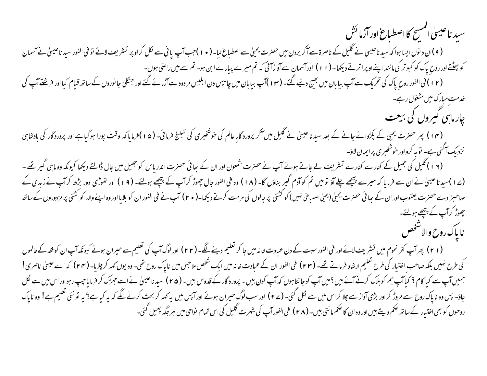سىد ناعيسىٰ المسح كااصطباع اورازما ئش

( ۹ )ان د نوں ایسا ہوا کہ سید ناعیسیٰ نے گلیل کے ناصرۃ سے آکریردن میں حصرت یحیٰ سے اصل کرامی کراو پر تسریف لائے توفی الفور سید ناعیسیٰ نے آسمان کو پہلنے اور روح پاک کو کبو تر کی مانند اپنے اوپراترتے دیکھا۔ (۱۱) اورآسمان سے آواز ای کہ تم میرے بیارے ابن ہو۔ تم سے میں راضی ہوں۔ (۱۲)فی الفور روح پاک کی تحریک سے آپ بیابان میں بھیج دیئے گئے۔(۱۳)آپ بیابان میں چالیس در دود سے آزمائے گئے اور جنگلی جانوروں کے ساتھ قیام کیااور فرشفےآپ کی خدمت مبارک میں مشغول رہے۔

چار ماہی گیروں کی بیعت

(۱۴) پھر حصرت یحیٰ کے پکڑوائے جانے کے بعد سید ناعیسیٰ نے گلیل میں آکر پرورد گار عالم کی خوشخبری کی تبلیغ فرمائی۔ (۵۱)فرمایاکہ وقت پورا ہو گیاہے اور پرورد گار کی بادشاہی نزدیک آگئی ہے۔ توبہ کرواور خوشخبری پرابمان لاؤ۔

(۱۶) گلیل کی جھیل کے کنارے کنارے تسٹریف لے جاتے ہوئے آپ نے حصرت شمعون اور ان کے سائی حصرت اندریاس کو جھیل میں جال ڈالتے دیکھا کیونکہ وہ ماہی گیر تھے ۔ (ے ا )سید ناعیسٰ نے ان سے فرمایا کہ میرے پیچھے چلے آؤ تومیں تم کوآدم گیر بناؤں گا۔ (۱۸) ورنسچھ ہوئے۔(۱۹) اور تھوڑی دور بڑھ کرآپ نے زبدی کے صاحبمزادے حصرت یعقوب اور ان کے سائی حصرت یحیٰ (یحیٰ اصطباعی نہیں) کو کشتی پر جالوں کی مرمت کرتے دیکھا۔( • ۲) آپ نے فی الفور ان کو بلایا اور وہ اپنے والد کو کشتی پر مزدوروں کے ساتھ چھوڑ کرآپ کے بیچھے ہولئے۔ ناياك روح والاسخص

(۲۱) پھرآپ کفرنحوم میں تشریف لائے اور فی الفور سبت کے دن عبادت خانہ میں جا کر تعلیم دینے کے لوگ ایک تعلیم سے حیران ہوئے کیونکہ آپ ان کوفقہ کے عالموں کی طرح نہیں بلکہ صاحب اختیار کی طرح تعلیم ارشاد فرماتے تھے۔ (۲۳) فی الفور ان کے عبادت خانہ میں ایک روح تھی۔ اوہ یوں کہہ کر چلایا- (۲۴) کہ اے عیسیٰ ناصری ! ہمیں آپ سے کیا کام ؟ کیاآپ ہم کو ہلاک کرنے آئے بیں ؟ میں آپ کو جا نتا ہوں کہ آپ رورد گار کے قدوس بیں۔ ( ۲۵ ) سید ناعیسیٰ نے اسے جھ<sup>و</sup>ک کر فرمایا جپ رہواور اس میں سے لکل جاؤ- پس وہ ناپاک روح اسے مروڑ کر اور بڑی آواز سے جلا کر اس میں سے نکھ کے اس کے اور اس میں کے کہ کر بحث کرنے لگے کہ یہ کیاہ<sup>2</sup> یہ تو نئی تعلیم ہے! وہ ناپاک روحوں کو بھی اختیار کے ساتھ ضکم دیتے بیں اور وہ ان کا ضکم ما نتی بیں۔ ( ۲ م) فی الفور آپ کی شہرت گلیل کی اس تمام نواحی میں ہر جگہ پھیل گئی۔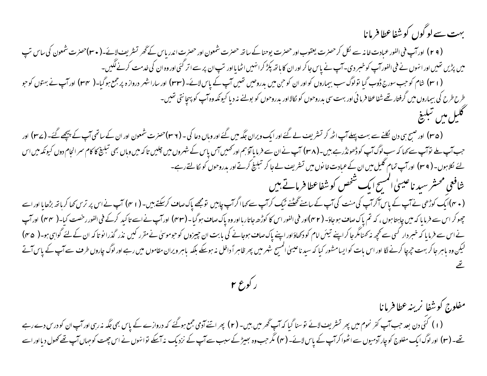بہت سے لو گوں کو شفاعطا فرمانا

مفلوج كوشفا نرينه عطافرمانا

(۲۹) اورآپ فی الفور عبادت خانہ سے لکل کر حصرت یعقوب اور حصرت یوحناکے ساتھ حصرت اور حصرت اندر پاس کے گھر تسثر یف لائے۔(۳۰)حصرت شمعون کی ساس تپ میں پڑیں تھیں اور انہوں نے فی الفورآپ کو خسر دی۔آپ نے پاس جاکر اور ان کا ہاتھ پکڑ کرانہیں اٹھا یااور تپ ان پر سے اتر کئی اور وہ ان کی خدمت کرنے لگیں۔ ( ا ۳) شام کوجب سورج ڈوب گیا تولوگ سب بیماروں کواور ان کو حن میں بدروحیں تھیں آپ کے پاس لائے۔( ۳۳) اور ساراشهر درواز ہ پر جمع ہوگیا۔( ۳۴) اور آپ نے بهتوں کوجو طرح طرح کی بیماروں میں گرفتار تھے شفاعطا فرما ئی اور بہت سی بدروحوں کو کالااور بدروحوں کو بولنے نہ دیا کیونکہ وہ آپ کو پہچانتی تھیں۔ كليل مين تبليغ

(۳۵) اور صبح بی دن لکلنے سے بہت پہلےآپ اٹھ کر تسٹریف لے گئے اور ایک ویران جگہ میں گئے اور وسال شمعون اور ان کے راتھی آپ کے پیچھے گئے۔ (۳۷) اور حب آپ ملے توآپ سے کہا کہ سب لوگ آپ کوڈھونڈرہے ہیں۔(۳۸) آپ نےان سے فرمایاآؤہم اور کہیں آپ کے شہروں میں چلیں تاکہ میں وہاں بھی تبلیخ کا کام سر انجام دوں کیونکہ میں اس لئے لکلاہوں۔ ( r ۹) اور آپ تمام گلیل میں ان کے عبادت خا نوں میں تسثر یف لے جا کر تبلیخ کرتے اور بدروحوں کو لگالتے رہے۔ شافعي محسثر سيد ناعيسىٰ المسح ايك شخص كوشفاعطا فرماتے ہيں ( مہم)ایک کوڑھی نے آپ کے پاس آکرآپ کی منت کی آپ کے سامنے گھٹنے ٹیک کرآپ سے کہااگرآپ چاہیں تو مجھے پاک صاف کرنکتے ہیں۔( مہم) آپ نے اس پر ترس کھا کرباتھ بڑھایا اوراسے جھوکر اس سے فرمایا کہ میں چاہتا ہوں ، کہ تم یاک صاف ہوجاؤ۔ (۴۲)اور فی الفور اس کا کوڑھ جاتارہا اور و پاک صاف ہوگیا۔(۴۳) اورآپ

نےاس سے فرمایا کہ خبر دار کسی سے محچھ نہ کہنامگر جا کراپنے تینک اور اپنے پان کے ایک اس پیروں کو جوموسیٰ نے مقرر کیں نذر گذرا نو تاکہ ان کے لئے گواہی ہو۔( ۴۵) لیکن وہ باہر جاکر بہت جرچا کرنے لگا اور اس بات کوایسامشور کیا کہ سیدناعیلیٰ اسم شرح میں اسک اسرویران مقاموں میں رہے اور لوگ چاروں طرف سے آپ کے پاس آتے

ر کوع ۲

یحے۔ (۳) اور لوگ ایک مفلوج کو چارآدمیوں سے اٹھوا کرآپ کے پاس لائے۔ (۴) مگر حب وہ بھیڑ کے سبب سے آپ کے اس اس سے محمول دیااور اسے

(۱) کئی دن بعد حب آپ کفر نحوم میں پھر تسٹریف لائے توسنا گیا کہ آپ گھر میں بھی اسے آدمی جمع ہوگئے کہ دروازے کے پاس بھی جگہ نہ رہی اورآپ ان کو درس دے رہے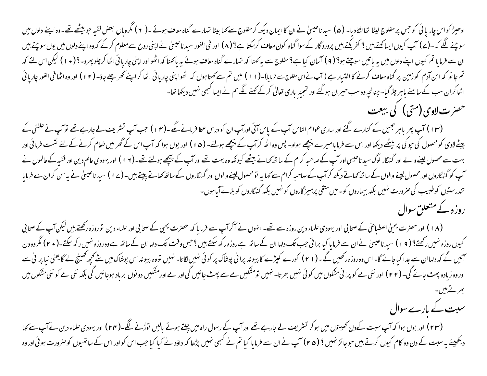ادھیڑ کواس چار یائی کو جس پرمفلوج لیٹا تعالٹکادیا- (۵) سیدناعیسیٰ نے ان کاایمان دیکھ کرمفلوج سے کہا ہنا تہارے گناہ معاف ہونے -( ۲ ) مگروہاں بعض فقیہ حو بیٹھے تھے-وہ اپنے دلوں میں سوچنے لگے کہ ۔(ے) آپ کیوں ایسا<u>یحتے بیں</u> ؟ کفر بکتے بیں پرورد گار کے سواگناہ کون اور بھی ان کی ان سے ان کے اپنی روح سے معلوم کرکے کہ وہ اپنے دلوں میں یوں سوچتے ہیں ان سے فرمایا تم کیوں اپنے دلوں میں یہ باتیں سوچتے ہو؟ ( ۹ ) آسان کیا ہے ؟ مفارے گناہ معاف ہوئے یہ پاکھنا کہ اٹھو اور اپنی چاریائی اٹھا کر چلو پھرو۔؟ ( • ۱ ) لیکن اس لئے کہ تم جانو کہ ابن آدم کو زمین پر گناہ معاف کرنے کا اختیار ہے ( آپ نے اس مناسر ( ا ) میں تم سے کھڑا ہنی چارپائی اٹھا کراپنے گھر چلے جاؤ۔ ( ۱ ۲ ) اور وہ اٹھا فی الفور چارپائی اٹھا کران سب کے سامنے باہر چلا گیا۔ چنانچہ وہ سب حیران ہوگئے اور تمجید باری تعالیٰ کرکے کھنے لگے ہم نے ایسا کسجی نہیں دیکھا تھا-حصرت لاوی (متی) کی بیعت

(۱۳) آپ پھر باہر جھیل کے کنارے گئے اور ساری عوام الناس آپ کے پاس آئی اورآپ ان کو درس عطا فرمانے گے -(۱۴) جب آپ تشریف لے جارہے تھے لوآپ نے حلفئی کے بیٹے لاوی کومحصول کی جو کی پر بیٹھے دیکھا اور اس سے فرمایا میرے بیچھے ہوا۔ کے بیچھے ہوئے۔ (۵۱) اور یوں ہوا کہ آپ اس کے گھر میں طعام کرنے کے لئے نشست فرمائی اور بہت سے محصول لینےوالے اور گنہگار لوگ سید ناعیسیٰ اورآپ کےصاحبہ کرام کے ساتھ کھانے کیونکہ وسے سے ہوتے تھے۔(۱۲) اور یہودیءالم دین اور فقیہ کے عالموں نے آپ کو گنہگاروں اور محصول لینے والوں کے ساتھ کھا کہ گرام کے صاحبہ کرام سے کہا ہے تو محسنے پیتے ہیں۔(ے ا ) سید ناعيس نے پہ سن کران سے فرمايا تندرستوں کوطبیب کی صرورت نہیں بلکہ بیماروں کو۔میں متقی پرہیز گاروں کو نہیں بلکہ گنہگاروں کو بلانے آیا ہوں-روزہ کے متعلق سوال

(۱۸) اور حصرت یحییٰ اصطباعی کے صحابی اور یہودی علماء دین روزہ سے تھے۔ انہوں نے آکرآپ سے فرمایا کہ حصرت یحیٰل کے صحابی اور علماء دین نوروزہ رکھتے بیں لیکن آپ کے صحابی کیوں روزہ نہیں رکھتے؟ ( ۹ ) سید ناعیسیٰ نےان سے فرمایا کیا برا تی حب تک دلالتے ہے روزہ رکھ سکتے ہیں ؟حب ودلیا ان کے ساتھ ہے وہ روزہ نہیں رکھ سکتے۔( • ۲ ) مگروہ دن سمیں گے کہ دلہاان سے جدا کیاجائے گا-اس وہ روزہ رکھیں گے-( r ۱ ) کورے کپڑے کا پیوند پرانی پوشاں نسب تووہ پیونداس پوشاک میں نے کچھ کھینچ لے گا یعنی نیا پرانی سے اوروہ زیادہ پھٹ جائے گی۔ (۲۲) اور نئی مے کو پرانی مشکوں میں کوئی نہیں بھرتا۔ نہیں سے سے پھٹ جائیں گی اور ہے اورمشکیں دونوں برباد ہوجائیں گی بلکہ نئی ہے کو نئی مشکوں میں ىمر تے بىس۔ سبت کے بارے سوال (۲۳) اور یوں ہوا کہ آپ سبت کےدن تھیتوں میں ہو کر تسٹریف لے جارہے تھے اور آپ کے رسول راہ میں چلتے ہوئے بالیں قوڑنے لگے۔(۲۴) اور یہودی علماء دین نے آپ سے کہا

دیکھیئے یہ سبت کے دن وہ کام کیوں کرتے ہیں حوجائز نہیں ؟ (۴۵) آپ نے ان سے فرمایا کیا تم نے لیمواں کو اور اس کے ساتھیوں کوصرورت ہوئی اور وہ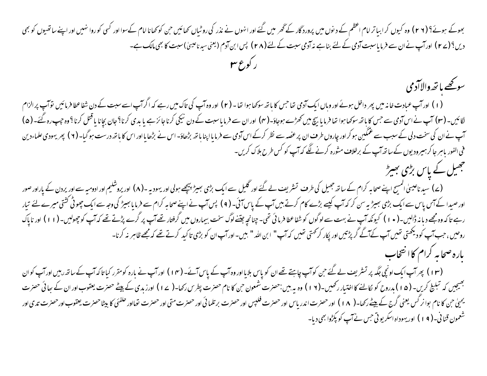بھوکے ہوئے؟ (٢ ٢) وہ کیوں کرابیاترامام اعظم کے دنوں میں پرورد گار کے گھر میں گنے اور انہوں سے کوئی ان امام کےسوااور کسی کوروا نہیں اور اپنے ساتھیوں کو بھی دیں؟(ے ۲) اور آپ نےان سے فرمایاسبت آدمی کے لئے بناہے نہ آدمی سبت کے لئے (۲۸) پس ابن آدم (یعنی سیدناعینیٰ)سبت کا بھی مالک ہے۔

سوكحصا نخه والاآدمي (۱) اور آپ عبادت خانہ میں پھر داخل ہوئے اور وہاں ایک آدمی تعاجس کا باتھ سوکھا ہوا تھا - (۲) اور وہ آپ کی تاک میں رہے کہ اگراپ اسے سبت کے دن شفاعطا فرمائیں توآپ پر الزام لگائیں۔(۳) آپ نے اس آدمی سے جس کا باتھ سوکھا ہوا تھا فرما یا بیچ میں کھولت (۳) اور ان سے فرما بارن کے کرنا؟ جان بچانا یا قتل کرنا؟ وہ جب رہ گئے۔(۵) آپ نے ان کی سخت دلی کے سبب سے عمکین ہو کراور چاروں طرف ان پر عضہ سے نظر کرکے اس آدمی سے بڑھانا کرا اور اس کا ہاتھ درست ہو گیا۔ ( ۲ ) پھریہودی علماءدین فی الفور ماہر جا کر ہیرودیوں کے ساتھ آپ کے برخلاف مثورہ کرنے لگے کہ آپ کو کس طرح بلاک کریں۔ جھیل کے پاس بڑی بھیڑ

(ے) سید ناعیسیٰ المسیح اپنے صحابہ کرام کے ساتھ جھیل کی طرف تسٹریف نے کوئی سال کے ایک بھیڑ پیچھے ہولی اور بیوں کے محمد اور پردن کے پاراور صور اور صیدا کے آس سے ایک بڑی بھیڑیہ سن کر کہ آپ کیسے بڑے کام کرتے ہیں آپ کے پاس آپ نے اپنے صحابہ کرام سے فرما یا بھیڑ کی وجہ سے ایک چھوٹی کشتی میرے لئے تیار رہے تاکہ وہ مجھے دبانہ ڈالیں۔( • ۱ ) کیونکہ آپ نے بہت سے لوگوں کو شفاعطا فرمائی تھی۔ جنانچہ جناروں میں گرفتار تھےآپ پر گرے پڑتے تھے کہ آپ کوچھولیں۔( ۱ ۱ ) اور ناپاک روحیں ، حب آپ کو دیکھتی تھیں آپ کےآگے گر پڑتیں اور پکار کرکھتی تھیں کہ آپ" ابن اللہ " بیں۔اورآپ ان کو بڑی تاکید کرتے تھے کہ مجھے ظاہر نہ کرنا-باره صحابه كرام كاانتخاب

(۱۳) پھرآپ ایک اونچی جگہ پر تسٹریف لے گئے حن کوآپ چاہتے تھے ان کو پاس بلایااور وہ آپ کے۔(۱۴) اورآپ نے بارہ کومقرر کیا تاکہ آپ کے ساتھ رہیں اورآپ کوان جھیجیں کہ تبلیخ کریں- (۵۱)بدروح کو کالنے کااختیار رکھیں-(۱۲) وہ یہ بیں:حضرت شمعون حن کا نام حضرت اور اس کے اپنے حضرت یعقوب اور ان کے ہیائی حضرت یحییٰ حن کا نام بوانر گس یعنی گرج کے بیٹےرکھا۔( ۱۸ ) اور حضرت اندریاس اور حضرت برتا ان کی اور حضرت تعااور حلفئی کا بیٹاحضرت یعقوب اور حضرت تدی اور شعمون قنا نی۔( ۱۹) اور یہوداہ اسکریو تی حس نے آپ کو پکڑوا بھی دیا۔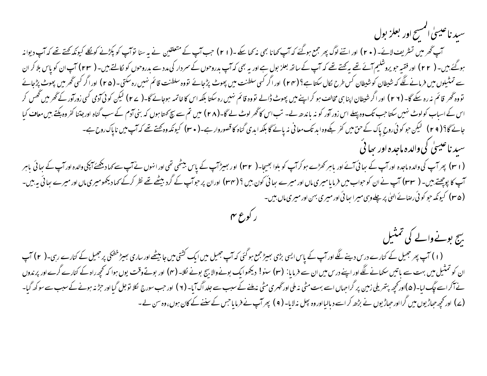سيد ناعيسىٰ المسح اور بعلز بول

س تھر میں تسٹریف لائے۔ ( • ۲ ) اور اتنے لوگ پھر جمع ہوگئے کہ آپ کھا کے -( ۲ ) جب آپ کے متعلقین نے یہ سنا توآپ کو پکڑنے کونکلے کیونکہ کچتے تھے کہ آپ دیوانہ ہوگئے بیں۔ ( ۲۲) اور فقیہ حویروشلیم آئے تھے پیکھتے تھے کہ آپ کے ساتھ بعلز بول ہے ہیں۔ ( سے دراوحوں کو کالتے بیں۔ ( ۲۳) آپ ان کو پاس بلا کر ان سے تمثیلوں میں فرمانے لگے کہ شیطان کو شیطان کس طرح کال سکتاہے؟ (۲۴) اور اگر کسی سلطنت پر پول توہ سلطنت قائم نہیں رہ سکتی۔ (۲۵) اور اگر کسی ٹھر میں پھوٹ پڑجائے تووہ گھر قائم نہ رہ سکے گا۔ (۲ ۲) اور اگر شیطان اپنا ہی مخالف سو کراپنے میں پھر تو تائم نہیں کہ اس کا خاتمہ ہوجائے گا-( ۲ ۷) لیکن کوئی آدمی کسی زورآور کے گھر میں گھس کر اس کے اسباب کولوٹ نہیں سکتا جب تک وہ پہلے اس زور آور کو نہ باندھ لے۔ شب اس کاٹھر لوٹ ۔ اس تم سے سچ کہتا ہوں کہ بنی آدم کے سب گناہ اورجتنا کفر وہ بکتے ہیں معاف کیا جائے گا؟ (٢٩) گیکن حو کوئی َروحِ پاک کے حق میں کفر بکےوہ ابد تک معانی نہ پائے گا بلکہ ابد ی گفعوروار ہے۔( ٣٠) کيونكہ وہ گھنے تھے کہ آپ میں ناپاک روح ہے۔ سېد ناغيسې کې والده ماجده اور بحا ئې

( r ۱ ) پھرآپ کی والدہ ماجدہ اور آپ کے سائی آئے اور باہر تھڑے ہو کرآپ کے اور کا اور بھیڑآپ کے پاس بیٹھی تھی اور انہوں نے آپ سے کہا دیکھئے آپکی والدہ اور آپ کے ساتی باہر آپ کا پوچھتے ہیں۔ ( ۳۳) آپ نے ان کوحواب میں فرمایامیری ماں اور میرے سائی کون بیں ؟ ( ۳۴) اوران پر حوآپ کے گرد بیٹھے تھے نظر کرکے کہا دیکھومیری ماں اور میرے سائی یہ بیں-( ۳۵) کیونکہ حو کوئی رصائے الهیٰ پر چلےوہی میرا سائی اور میری بہن اور میری ماں بین۔

بیج بونےوالے کی تمتیل (۱) آپ پھر جھیل کے کنارے درس دینے لگے اورآپ کے پاس ایسی بڑی بھیڑ جمع ہو گئی کہ آپ جھیل میں ان اس ایک گنارے رہیں۔(۲) آپ ان کو تمثیل میں بہت سے باتیں سکھانے لگے اور اپنے درس میں ان سے فرمایا: (۳) سنو! دیکھوایک بونے لاک اور بوتے وقت یوں ہوا کہ تحجیراہ کے کنارے گرے اور پرندوں نے آکراسے مچک لیا۔(۵)اور کحچھ بتھریلی زمین پر گراجہاں اسے بہت مٹی نہ ملی اور شب سے جلد اگ آیا۔(۲) اور حب سورج لکلا توجل گیا اور حبڑ نہ ہونے کے سبب سے سوکھ گیا۔ (ے) اور تحچہ حباڑیوں میں گرااور حباڑیوں نے بڑھ کر اسے د بالیااور وہ بجل نہ لایا۔ ( ۹ ) بھر آپ نے فرمایاجس کے سننے کے کان ہوں، وہ سن لے -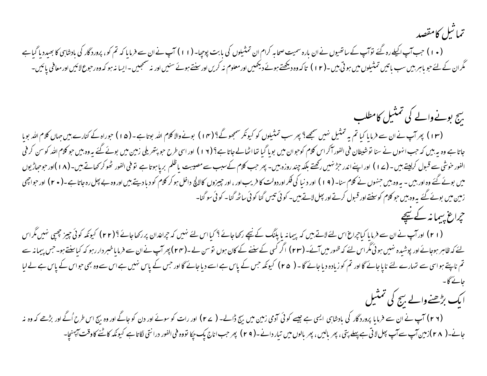تماثيل كامقصد

(۱۰) جب آپ اکیلے رہ گئے توآپ کے ساتھیوں نے ان بارہ سمیت صحابہ کرام ان تمثیلوں کی بابت پوچیا- (۱۱) آپ نے ان سے فرما یا کہ تم کو، پرورد گار کی بادشاہی کا بھیدد یا گیاہے گگران کے لئے حو باہر بیں سب باتیں تمثیلوں میں ہوتی بیں۔(۱۲) تاکہ وہ دیکھنے ہوئے دیکھیں۔اور نہ سمجھیں۔ایسا نہ ہو کہ وہ رحوع لائیں اور معافی پائیں۔

## بیج بونےوالے کی تمثیل کامطلب (۱۳) پھرآپ نے ان سے فرمایا کیا تم یہ تمثیل نہیں سمجھ؟ پھر سب تمثیلوں کو کیونکر سمجھوگ؟ (۱۴) بونے اللہ بوتا ہے -(۵۱) حوراہ کے کنارے بیں جہاں کلام اللہ بویا جاتا ہے وہ یہ بیں کہ حب انہوں نے سنا توشیطان فی الفور آکر اس کلام کوحوان میں بوپا گیا تھا اسے؟ (١٧) اور اسی طرح حو بیٹی میں میں گیسکت یہ وہ بیں حو کلام اللہ کوسن کرفی الفور خوشی سے قبول کرلیتے ہیں ۔ (ے ۱ ) اور اپنے اندر حرِّ نہیں رکھتے بلکہ چند روزہ بیں۔ پر حرکتا ہے اللم بریا ہوتا ہے اوقی الفور کھوکر کھاتے ہیں۔ (۱ ۸ )اور حوجیاڑیوں (۱ ۸ )اور حوجیاڑیوں میں بوئے گئے وہ اور بیں ۔ یہ وہ بیں جنہوں نے کلام سنا۔ ( ۹ ) ) اور دنیا کی فکر اور جیروں کا اللہ اس اللہ واخل ہو کر کلام کو دبا دیتے بیں اور وہ بے پھل رہ جاتا ہے۔( ٭ ۲ ) اور حواجھی زمین میں بوئے گئے یہ وہ بیں حو کلام کوسنتے اور قبول کرتے اور پیل لاتے ہیں۔ کوئی تیس گنا کوئی ساٹھ گنا۔ کوئی سو گنا۔ حراع بیمانہ کے نیچے

(۲۱) اورآپ نے ان سے فرمایا کیاجراغ اس لئے لاتے ہیں کہ پیمانہ یا پکنگ کے نیچے رکھاجائے بہتر کرنا کرنے اور ۲۳) کیونکہ کوئی جیز چیپی نہیں مگراس یئے کہ ظاہر ہوجائے اور پوشیدہ نہیں ہوئی گراس لئے کہ ظہور میں آئے۔ (۲۳) اگر کسی کے لئے سے (۲۳) پھر آپ نے ان سے فرمایاخبر داررہو کہ کیاسنتے ہو۔ جس پیمانہ سے تم ناپتے ہواسی سے تہارے لئے ناپاجائے گااور تم کوزیادہ دیاجائے گا - ( ۲۵ ) کیونکہ جس کے پاس خواس سے کے پاس سب سے اس سے وہ بھی حواس کے پاس ہے لے لیا

ا یک بڑھنےوالے بیج کی نمتیل

(۲۶) آپ نے ان سے فرمایا پروردگار کی بادشاہی ایسی ہے جیسے کوئی آدمی زمین میں بیج ڈالے۔ ( ۲۷) اور رن کو جاگے اور وہ بیج اس طرح اُگے اور بڑھے کہ وہ نہ جانے۔( ۲۸)زمین آپ سے آپ پھل لاتی ہے پہلے پتی ، پھر بالیں ، پھر بالوں میں تیار دانے۔( ۲۹) پھر حب اناج کپووه فی الفور درانتی لگاتا ہے کیونکہ کاٹنے کاوقت آپہنچا۔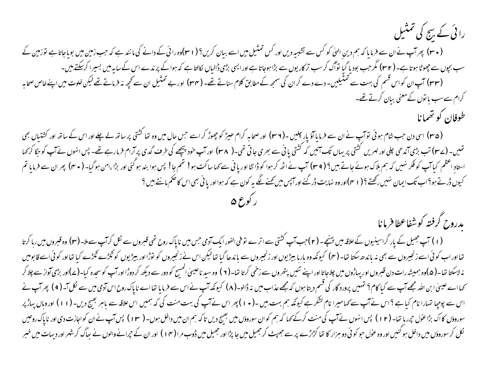| رائی کے بیج کی تمثیل                                                                                                                                                  |
|-----------------------------------------------------------------------------------------------------------------------------------------------------------------------|
| ( ۳۰) پھرآپ نےان سے فرمایا کہ ہم دینِ اللیٰ کو کس سے تشبیہ دیں اور کس تمثیل میں اسے بیان کریں؟ ( ۲ ۳)وہ رائی کے دانے کی مانند ہے کہ حب زمین میں بویاجاتا ہے نوزمین کے |
| سب بجوں سے جھوٹا ہوتا ہے۔( ۳۲) مگر حب بودیا گیا تواگ کرسب ترکاریوں سے بڑاہوجاتا ہے اور ایسی بڑی ڈالیاں لکالتاہے کہ ہواکے پرندے اس کے سایہ میں بسیرا کرسکتے ہیں۔       |
| (۳۳) آپ ان کواس قسم کی بہت سے تمنٹیلیں- دے دے کران کی سمجھ کے مطابق کلام سناتے تھے۔(۳۳) اوربے تمثیل ان سے محچھ نہ فرماتے تھے لیکن خلوت میں اپنے خاص صحابہ             |
| کرام سے سب ماتوں کے معنی بیان کرتے تھے۔                                                                                                                               |
| طوفان کو تھمانا                                                                                                                                                       |

(۳۵) اسی دن حب شام ہوئی توآپ نے ان سے فرمایا آؤ یار چلیں -(۳۶) اور صحابہ کرام ھیڑ کو چھوڑ کراسے جس حال میں وہ تعا کشتی پر ساتھ لے اس لے ساتھ اور کشتیاں بھی تھیں۔ (ے۳) تب بڑی آندھی چلی اور لہریں کشتی پریہاں تک آتنی یا ٹی سے بھری جاتی تھی۔( ۳۸) اور آپ خود پیچھے کی طرف گدی پرآرام فرمارہے تھے۔ پس انہوں نے آپ کوجگا کرکہا استادِ اعظم کیاآپ کوفکر نہیں کہ ہم ہلاک ہوئے جاتے ہیں؟ ( ۳۹) آپ نے اٹھ کر ہوا کو ڈانٹا اوریانی سرا بھم جا! پس ہوا بند ہوگئی اور بڑا ،امن ہوگیا- ( ۴۰) پھران سے فرمایا تم کیوں ڈرتے ہو؟اب تک ایمان نہیں رکھتے ؟ (۱ سم)اور وہ نہایت ڈرگئے اور ایس میں کھنے لگے یہ کون ہے کہ ہوااور یا فی بھی اس کا ضکم مانتے ہیں ؟

يدروح كرفته كوشفاعطا فرمانا

(۱) آپ جھیل کے یار گراسینیوں کےعلاقہ میں بینچے۔(۲)جب آپ کشتی سے اترے تو فی الفور ایک آدمی جس میں ناپاک روح تھی قسرول سے لگل کرآپ سےملا۔(۳) وہ قسروں میں رہا کرتا تفااور اب کوئی اسے زنجیروں سے بھی نہ باندھ سکتا تھا۔ (۴) کیونکہ وہ بار با بیروں سے باندھا گیا تھالیکن اس نے زنجیروں کو توڑااور بیڑیوں کو ٹکڑے کیا تھااور کوئی اسے قابو میں نہ لاسکتا تھا۔( ۵)وہ ہمیشہ رات دن قبروں اور پہاڑوں میں چلاجاتا اور اپنے تئیں پتھروں سے ز<sup>ی</sup>ار (۲) وہ سید ناعیسیٰ المسح کو دور سے دیکھ کر دوڑا اور آپ کوسجدہ کیا۔(ے)اور بڑی آواز سے چلا کر سکھا اے عیسیٰ ابن اللہ مجھے آپ سے کیا کام؟ تہیں پرورد گار کی قسم دیتا ہوں کہ شہید کرنے کے اس سے فرمایا تھا اے ناپاک روح اس آدمی میں سے نکل آ۔ ( ۹ ) پھر آپ نے اس سے پوچیا تہارا نام کیاہے ؟اس نےآپ سے کہامیرا نام لشکرہے کیونکہ ہم بہت،میں اس منت کی کہ ہمیں اس علاقہ سے باہر بھیج دیں- (١١) اوروہاں پہاڑ پر سوروؤں کااک بڑاعول حمرر یا تھا۔ (۱۲) پس انہوں نے آپ کی منت کرکے کہا کہ ہم کوان سوروؤں میں بھیج دیں تاکہ ہم ان میں داخل ہوں۔ ( ۱۳) پس آپ نے ان کواجازت دی اور ناپاک روحیں نکل کرسوروؤں میں داخل ہو گئیں اور وہ عول حو کوئی دو ہزار کا تھا کڑاڑے پر سے جھپٹے کیں جا اور اس (۱۳) اور ان کے حرانے والوں نے ساگ کرشہر اور دیہات میں خبر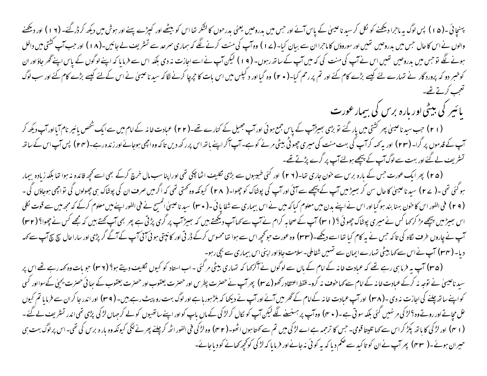<sup>پہ</sup>نچائی ۔(۵۱) پس لوگ یہ ماجرا دیکھنے کو لکل کر سید ناعیسیٰ کے پاس آئے اور حس پینے اور کیٹر اس کو بیٹھے اور کیٹ اور ہوش میں دیکھ کرڈرگئے۔(۱۲) اور دیکھنے والوں نے اس کا حال جس میں بدروحیں تھیں اور سوروؤں کا ماجرا ان سے بیان کیا۔ (ے ا ) وہ آپ کے منسے کرنے لگے کہ ہماری سرحد سے تشریف لے جائیں۔(۱۸) اور جب آپ کشتی میں داخل ہونے لگے توجس میں بدروحیں تھیں اس نےآپ کی منت کی کہ میں آپ کے ساتھ رہوں۔ ( ۹ ) لیکن آپ نےاسے اجازت نہ دی بلکہ اس سے فرمایا کہ اپنے لوگوں کے پاس اپنے گھر جاؤاور ان کوخبر دو کہ پرورد گار نے نتہارے لئے کیسے بڑے کام کئے اور تم پر رحم کیا۔ ( • ۲ ) وہ گیاالوں بات کا جرچا کرنے لگا کہ سید ناعیسیٰ نے اس کے لئے کیسے بڑے کام کئے اور سب لوگ تعحب کرتے تھے۔

یائیر کی بیٹی اور بارہ برس کی بیمار عورت

(۲۱) حب سید ناعیسیٰ بھر کشتی میں یار گئے تو بڑی بھیڑاپ کے اس جمع ہوئی اور آپ جھیل کے کنارے تھے۔ ایک سام میں سےایک شخص یائیر نام آیااور آپ دیکھ کر آپ کے قدموں پر گرا۔ (۲۳) اور یہ کہ کرآپ کی بہت منت کی میری چھوٹی بیٹی مرنے کوہے۔آپ آکراپنے ہاتھ اس پرر کھ دیں تاکہ وہ اچھی ہوجائے اور زندہ رہے۔(۲۳) پس آپ اس کے ساتھ تسٹریف لے گئے اور بہت سے لوگ آپ کے پیچھے ہولئے آپ پر گرے پڑتے تھے۔

(۴۵) پھرایک عورت جس کے بارہ برس سے خون جاری تھا۔(۲ ۲) اور کئی طبیبوں سے بڑی نکلیف اٹھا چکی تھی اوراپناسب مال خرچ کرکے بھی اسے کچھ فائدہ نہ ہوا تھا بلکہ زیادہ بیمار ہو گئی تھی۔( ے۲) سیدناعیسیٰ کا حال سن کر بھیڑ میں آپ کے پیچھےسے آئی اور آپ کی پونکور (۲۸) کیونکہ وہ گھتی تھی کہ اگر میں صرف ان کی پوشاک ہی چھولوں کی تواجھی ہوجاؤں کی ۔ ( ۲ ۹ ) فی الفور اس کا خون بہنا بند ہو گیا اور اس نے اپنے بدن میں معلوم کیا کہ سے شفا یا تی ( ( ۳۰ ) سید ناعیسیٰ المسیح نے فی الفور اپنے میں معلوم کرکے کہ مجھ میں سے قوت لکلی اس بھیڑ میں پیچھے مڑ کر کہا کس نے میری پوشاک چھوئی ؟ ( r r) آپ کے صابہ کرام نے آپ دیکھتے ہیں کہ پھر کی آپ کھتے ہیں کہ مجھے کس نے چھوا؟ ( r۳) آپ نے چاروں طرف لگاہ کی تاکہ <sup>ج</sup>س نے یہ کام کیا تھااسے دیکھ**ے۔(۲۳) و**ہ عورت حو محچھ اس سے ہوا اس کے ڈرکش کر کرنا کر کر کر کر کر کر کر کر اس کی کہ سکت کر پڑی اور ساراحال سچ سچ آپ سے کہہ دیا۔ (۳۴) آپ نے اس سے کہا بیٹی تہارے ایمان سے تہیں شفاملی۔سلامت جاؤاور اپنی اس بیماری سے بچی رہو۔

(۳۵) آپ یہ فرما ہی رہے تھے کہ عبادت خانہ کے امام کے باں سے لوگوں نے آکرکہا کہ تہاری بیٹی مرگئی – اب استاد کو کیون نگلیف دیتے ہو؟ (۳۶) حو بات وہ کہہ رہے تھے اس پر سید ناعیسیٰ نے نوجہ نہ کرکے عبادت خانہ کے امام سے کہاحوف نہ کرو- فقط اعتقاد رکھو(ے) کچھترت بطرس یعقوب اور حصرت یعقوب کے ہیا ئی حصرت یمحیٰ کےسوااور کسی کواپنے ساتھ چلنے کی اجازت نہ دی۔(۳۸) اورآپ عبادت خانہ کےامام کے گھرمیں آئے اور آپ نے دیکھا کہ بلڑ ہورہا ہے۔(ویبٹ رہے ہیں۔(۳۹) اور اندرجا کران سے فرمایا تم کیوں (۱ ۴) اور لڑکی کا باتھ بکڑ کراس سے کہا تلیتا قومی۔ جس کا ترحمہ ہے اے لڑکی میں اس اس کے پھرنے کئی کیونکہ وہ بارہ برس کی تھی۔اس برلوگ بہت ہی حبیران ہوئے۔( ۴۳) پھرآپ نےان کو تاکید سے حکم دیا کہ یہ کوئی نہ جانےاور فرمایا کہ لڑکی کو گجھ کھانے کو دیاجائے۔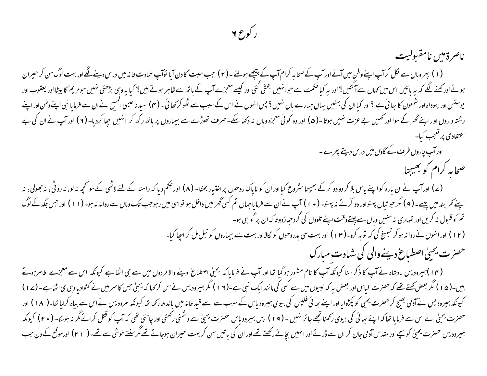## ر کوع ۲

ناصرةمين نامقىولىت (۱) بھروہاں سے لکل کرآپ اپنےوطنِ میں آئے اورآپ کے صحابہ کرام آپ کے بیچھے ہولئے۔(۲) حب سبت کا دن آپا نوآپ عبادت خانہ میں درس دینے لگے اور بہت لوگ سن کر حیران ہوئے اور کہنے لگے کہ یہ باتیں اس میں کہاں سے آگئیں؟ اور یہ کیا صحمت ہے جوانہیں بختی گئی ہے کہ سکت پر اس براہ جوس بڑھئی نہیں جو مریم کا بیٹااور یعقوب اور یوستس اور یہوداہ اور شمعون کا ہبائی ہے ؟ اور کیاان کی بہنیں یہاں سار سک کے بہانت کھو گرکھائی۔( م) سیدناعیسیٰ المسح نے ان سے فرمایا نبی اپنےوطن اور اپنے رشتہ داروں او راپنے گھر کے سوا اور کھمیں بے عزت نہیں ہوتا ۔(۵) اور وہ کوئی معجزہ وہاں نہ دکھے کے سیماروں پر ہاتھ رکھ کر انہیں اجپا کردیا۔(۲) اور آپ نے ان کی بے اعتقادی پر تعجب کیا-اور آپ چاروں طرف کے گاؤں میں درس دیتے پھرے۔ صحابه كرام كو بھيجنا (۷) اورآپ نےان بارہ کواپنے پاس بلا کر دو دو کرکے بھیجنا س<sub>ٹر</sub>وع کیااور ان کو ناپاک روحوں پر اختیار بخشا۔ (۸) اورحکم دیا کہ راستہ کے لئے لاٹھی کے سوانحچہ نہ لو، نہ روٹی، نہ جھولی، نہ اپنے کمر بند میں پیے۔( ۹) مگر حو تیاں پہنواور دو گرتے نہ پہنو۔( • ۱ ) آپ نےان سے فرمایاجہاں تم کسی گھر مبن روحب تک سے روانہ نہ ہو۔(۱۱) اور حس جگہ کے لوگ تم کو قبول نہ کریں اور تہاری نہ سنیں وباں سے چلتےوقت اپنے تلووں کی گرد حیاڑ دو تا کہ ان پر گواہی ہو-(۱۲) اور انہوں نےروا نہ ہو کر تبلینے کی کہ توبہ کرو۔(۱۳) اور بہت سی بدروحوں کو کالااور بہت سے بیماروں کو تیل مل کر اجھا کیا-حصرت یحییٰ اصطباع دینےوالی کی شہادت مبارک (۱۴)ہیرودیس بادشاہ نے آپ کا ذکر سنا کیونکہ آپ کا نام مشور ہوگیا تھا اور آپ نے فرمایا کہ یمیل عنے والا مردوں میں سے حجی اٹھا ہے کیونکہ اس سے معجزے ظاہر ہوتے بیں۔(۵۱) مگر بعض کچتے تھے کہ حصرت الباس اور بعض یہ کہ نبیوں میں سے کسی انندایک نبی ۔(۱۲) مگر ہیں کہ بحی جس کاسر میں نے کٹوادیاوہی جی اٹھاہے۔(۷۷) کیونکہ ہیرودیس نےآدمی بھیج کرحصرت یحیٰ کو پکڑوایااور اپنے سافی فلپس کی بیوی ہیرودیاس کے سبب سےاسے قید خاند کا پیونکہ سرودیس نےاس سے بیاہ کرلیا تھا۔( ۱۸ ) اور

حصرت یحیٰ نے اس سے فرمایا تعاکہ اپنے سائی کی بیوی رکھناتھے جائز نہیں ۔ ( 9 ۱ ) پس ہیرودیاس حصرت یحیٰ رکھتی اور چاہتی تھی کہ آپ کو قتل کرائے مگر نہ ہوئےا- ( • ۲ ) کیونکہ ہیرودیس حصرت یحیٰی کوسچے اور مقدس آدمی جان کر ان سے ڈرتے اور اننیں کے میاں سکر کر بہت حیران ہوجاتے تھے مگرسنتے خوش سے تھے۔( I م) اورموقع کے دن حب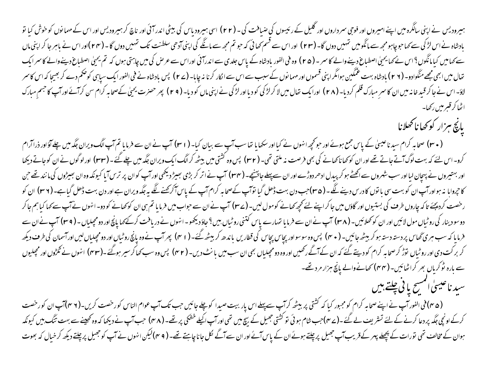ہیرودیس نے اپنی سالگرہ میں اپنے امیروں اور فوجی سر داروں اور گلیل کے رئیسوں کی سال (۲۲) اسی ہیرود ناقی کرناتھ کرہیرودیس اور اس کے مهمانوں کوخوش کیا تو بادشاہ نے اس لڑکی سے کہا حوچاہومجھ سے مانگومیں تہمیں دوں گا۔ (۲۳) اور اس سے قسم کھا تجھ سے اپنی آدھی سلطنت تک تہمیں دوں گا۔ (۲۴)اور اس نے باہر جا کر اپنی ماں سے کہا میں کیا مانگوں؟ اس نے کہا یحیٰ اصطباع دینے والے کا سر - (۴۵ ) وہ فی الفور بادشاہ کے بار تو رہ کی میں چاہتی ہوں کہ تم یحیٰ اصطباع دینے والے کا سر ایک تعال میں ابھی مجھے منگوادو۔ (۲ ۲ ) بادشاہ بہت عملکین ہوامگرا بنی قسموں اور مہمانوں کے سین از ایک بادشاہ نے فی الفور ایک سیاہی کوضم دے کر بھیجا کہ اس کاسر لاؤ۔اس نے جا کر قید خانہ میں ان کا سمر مبارک قلم کردیا۔ (۲۸) اور ایک کوریا اور لڑکی نے اپنی ماں کو دیا۔ (۲۹) پھر حصرت یحیٰ کےصحابہ کرام سن کرائے اور آپ کا جسم مبارک اٹھا کر قبیر میں رکھا۔

يانچ ہزار کو کھاناکھلانا

( • ۳) صحابہ کرام سید ناعینیٰ کے پاس جمع ہوئے اور حو محچھ انہوں نے کیا اور سکھایا تھا۔( اسم) سے اس سے فرمایا تم آپ لاگ ویران جگہ میں چلےآؤاور ذراآرام کرو۔اس لئے کہ بہت لوگ آتے جاتے تھے اور ان کو کھاناکھانے کی بھی فرصت نہ ملتی تھی۔ (۲۲) بس ویران کی میں چلے گئے۔(۳۳) اورلوگوں نےان کوجاتے دیکھا اور بہتیروں نے پہچان لیااور سب شہروں سے اکھٹے ہو کر پیدل ادھر دوڑے اور ان سےپہلے جاہینچے۔ (۳۴) کیونکہ وہ ان بھیڑوں کی مانند تھے جن کا جروابا نہ ہواور آپ ان کو بہت سی با نوں کا درس دینے گھ ۔ (۳۵)جب دن بہت ڈھل گیا نوآپ کے ساس اسک کرکھنے گے یہ جگہ ویران ہے اور دن بہت ڈھل گیاہے۔ (۳۶) ان کو رخصت کردیجئے تاکہ چاروں طرف کی بستیوں اور گاؤں میں جا کراپنے لئے کجھے کھانے کوموں (ے ۳۷) آپ نے حواب میں طرما یا تم بی ان کو کھانے کو دو۔ انہوں نے آپ سے کہا کیا ہم جا کر دوسو دینار کی روٹیاں مول لائیں اور ان کو کھلائیں۔ (۳۸) آپ نے ان سے فرمایا تہارے پاس کتنی روٹیاں، بین ؟ جاؤ دیکھو۔انهوں نے دریافت کرکے کہا پانچ اور دومجیلیاں۔ (۳۹) آپ نے ان سے فرمایا کہ سب ہری گھاس پردستہ دستہ ہوکر بیٹھ جائیں۔ ( ٭ ۷) پس وہ سوسواور بچاس بچائیں کرنے کے لیے روٹیاں اور دومچلیاں لیں اور آسمان کی طرف دیکھ کر برکت دی اور روٹیاں نوڑ کرصحابہ کرام کو دیتے گئے کہ ان کے آگے رکھیں اور وہ دومچیلیاں بھی اپنے ریلے (۳۲) اس وہ سب کھاکر سیر ہوگئے۔(۴۳) انہوں نے ٹکڑوں اور مچیلیوں سے بارہ ٹوکریاں بھر کراٹھائیں۔(مہم) کھانےوالے پانچ ہزار مرد تھے۔

سید ناعیسیٰ اسسے یا ٹی چلتے ہیں

(۴۵)فی الفور آپ نے اپنے صحابہ کرام کومجبور کیا کہ کشتی پر بیٹھ کرآپ سےپہلے اس سےپل جائیں جب تک آپ عوام الناس کورخصت کریں۔(۳۶)آپ ان کورخصت کرکے اونچی جگہ پر دعا کرنے کے لئے تسٹریف لے گئے۔(ے $\gamma$ )جب شام ہوئی تو کشتی جھیل کے بیچ میں تھی اوراب اکیلے خشکی پر تھے۔(۴۸) جب آپ نے دیکھا کہ وہ کھینےسے بہت تنگ ہیں کیونکہ ہوان کے مخالف تھی نورات کے پچھلے پہر کے قریب آپ جھیل پرچلتے ہوئےان کے اور اس سے آگے لکل جاناچاہتے تھے۔ ( r ۹)لیکن انہوں نے آپ کو جھیل پرچلتے دیکھ کرخیال کہ بھوت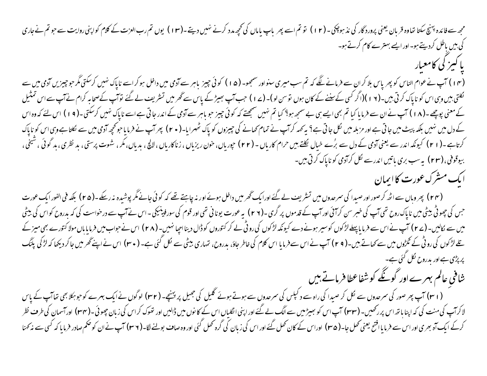مجھ سے فائدہ پہنچ سکتا تعاوہ قربان یعنی پرورد گار کی نذ ہوچکی – ( ۱ ) ) تو تم اس نے اس کے اس کے اس تم رب العزت کے کلام کواپنی روایت سے حو تم نے جاری کی بیں باطل کردیتے ہو۔اور ایسے بہترے کام کرتے ہو۔ باكسز كي كامعيار

(۱۴) آپ نے عوام الناس کو پھر پاس بلا کران سے فرمانے لگے کہ تم سب میری سنواور سمجھو۔ (۵۱) کوئی چیز باہر سے آدمی سے کرکٹی مگر حوجیزیں آدمی میں سے ئکلتی ہیں وہی اس کو ناپاک کرتی ہیں۔(۱۲)(اگر کسی کے سننے کے کان ہوں توسن لو)۔(۱۷) جب آپ سے پھُر میں تشریف لے گئے نوآپ کےصحابہ کرام نے آپ سے اس تمثیل کے معنی پوچھے۔(۱۸) آپ نے ان سے فرمایا کیا تم بھی ایسے ہی بے سمجہ ہو؟ کیا تم نہیں سمجھتے کہ گوچو جاس سے آپ کہ اس سے کہ مسلح کرسکتی۔(۱۹) اس لئے کہ وہ اس کے دل میں نہیں بلکہ پیٹ میں جاتی ہے اور مزبلہ میں لکل جاتی ہے؟ یہ کہ کہ سلم کھانے کی چیزوں کو پار (۲۰) پھرآپ نے فرمایاحو محچہ آدمی میں سے لکتاہے وہی اس کو ناپاک کرتاہے۔(۲۱) کیونکہ اندر سے یعنی آدمی کے دل سے برُے خیال کلتے ہیں حرام کاریاں -(۲۲) حجوریاں، خون، بال اللج، بدیاں،مکر، شوت پرستی، بد نظری، بد گوئی ،شیخی، بیوقوفی، (۲۳) به سب بری باتیں اندرسے لکل کرآدمی کو ناپاک کرتی ہیں۔

ایک مشرک عورت کاابمان

(۲۴) پھر وہاں سے اٹھ کرصور اور صبدا کی سمرحدوں میں تشریف لے گئے اور ایک ٹھر میں داخل ہوتے تھے کہ کوئی جانے مگر پوشیدہ نہ رسکے۔(۲۵) بلکہ فی الفور ایک عورت جس کی چھوٹی بیٹی میں ناپاک روح تھی آپ کی خبر سن کرائی اور آپ کے قدموں پر گری۔(۲۶) یہ عورت یونانی تھی اور قوم کی سورفینیکی۔اس نے آپ سے درخواست کی کہ بدروح کواس کی بیٹی میں سے کالیں۔ (۲۷) آپ نے اس سے فرمایا پہلے لڑکوں کوسیر ہونے دے کیونکہ لڑکوں کی رو ڈی لے کر کنوروں کو ڈیلا پاس نے حواب میں فرمایا ہاں مولا کنورے بھی میز کے تلے لڑکوں کی روٹی کے گمڑوں میں سے کھاتے ہیں۔( ۲ م) آپ نے اس سے فرمایا اس کلام کی ناطر جاؤ، بدروج، تہاری بیٹی سے کے سا پنے تحر میں جاکر دیکھا کہ لڑکی پلنگ پرېژنې ہے اور بدروح نګل کئي ہے۔

شافی عالم بہرے اور گونگے کو شفاعطا فرماتے ہیں

(۱۳۱) آپ پھر صور کی سرحدوں سے لکل کر صیدا کی راہ سے د کمپل کی سرحدوں سے ہوئے گلیل کی جھیل پر پہنچے۔(۲۲) لوگوں نے ایک بہرے کوجو ہکلا بھی تفاآپ کے پاس لاکرآپ کی منت کی کہ اپنا باتھ اس پررٹھیں۔(۳۳) آپ اس کو بھیڑ میں سے لگ کئے اور اپنی انگلیاں اس کے کا نوں میں ڈالیں اور تھوک کراس کی زبان چھوٹی۔(۳۳) اورآسمان کی طرف نظر کرکے ایک آہ بھری اور اس سے فرمایاافتح یعنی کھل جا۔( ۳۵) اوراس کے کان کھنا رہ کرا کی گرہ کھل گئی اور وہ صاف بولنے لگا-(۳۹) آپ نے ان کوحکم صادر فرمایا کہ کسی سے مذکمنا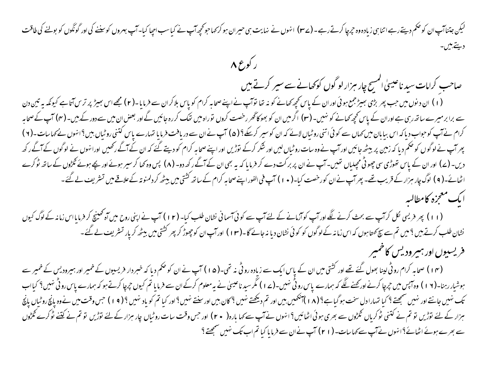## لیکن جتناآپ ان کوحکم دیتے رہے اتنا ہی زیادہ وہ جرچا کرتے رہے ۔ (۲۳) انہوں نے اپنے کہا جو تحریک سے کیا۔ آپ جس اور گونگوں کو بولنے کی طاقت ديتے ہيں۔

ر کوع ۸

صاحب کرامات سید ناعیسیٰ انمسیح چار مبزار لو گول کوکھانے سے سیر کرتے ہیں

(۱) ان د نوں میں جب پھر بڑی بھیڑ جمع ہوئی اور ان کے پاس کچھ کھانے کو نہ تھا قواتِ نے اپنے صحاب اور اس سے فرمایا۔(۲) مجھےاس بھیڑ پر ترس آتاہے کیونکہ یہ تین دن سے برابر میرے ساتھ رہی ہے اوران کے پاس کچھ کھانے کو نہیں۔ (۲) اگر میں ان کو بھوکا گھر رخصت لارہا تھیں گے اور بعض ان میں سے دور کے بیں۔ (۴) آپ کے صحابہ کرام نے آپ کوحواب دیا کہ اس بیابان میں <sub>کھا</sub>ل سے کوئی اتنی روٹیاں لائے کہ ان کوسیر کریکے؟ (۵) آپ نے ان کا تعارے پاس کتنی روٹیاں بیں؟انهوں نے <sub>کھا</sub>سات۔(۲) پھرآپ نے لوگوں کو حکم دیا کہ زمین پر بیٹھ جائیں اور آپ نے وہ سات روٹیاں لیں اور اپنے ساحا ہے کہ کرکھا کرکھا کے اس کے اس کے اس کے اس کے اس کے اس کے اس کے اس کے اس کے اس کے اس کے اس کے اس دیں۔ (ے) اور ان کے پاس تھوڑی سی چھوٹی مجلیاں تھیں۔آپ نے ان پربر کت دے کر فرمایا کہ یہ بھی اکھ دو۔ (۸) پس وہ کھا کرسیر ہوئے اور یچے ہوئے گلڑوں کے ساتھ ٹوکرے اٹھائے-( ۹ ) لوگ چار ہزار کے قریب تھے- پھرآپ نےان کورخصت کیا-( • ۱ ) آپ فی الفور اپنےصحابہ کرام کے ساتھ کشن بلٹھ کر دلمنو تہ کے علاقے میں تسٹریف لے گئے۔ ايك معجزه كامطالسه

(۱۱) پھر فریسی نکل کرآپ سے بحث کرنے لگے اور آپ کوآزمانے کے لئے آپ سے کوئی آسمانی نشان طلب کیا۔(۱۲) آپ نے اپنی روح میں آہ محینیچ کر فرمایااس زمانہ کے لوگ کیوں نشان طلب کرتے ہیں <sup>9</sup> میں تم سے سچ <sub>ک</sub>متاہوں کہ اس زمانہ کے لوگوں کو کوئی نشان دیا نہ جائے **گا۔(۱۳)** اورآپ ان کو چھوڑ کر پھر کشتی میں بیٹھ کریار تسٹریف لے گئے۔ فريسيوں اور ہيروديس كاحمير

(۱۴) صحابہ کرام روٹی لینا بھول گئے تھے اور کشتی میں ان کے پاس ایک سے زیادہ روٹی نہ تھی۔(۵۱) آپ نے ان کوحکم دیا کہ خبر دار فریسیوں کے خمیر اور ہمیرودیس کے خمیر سے ہوشیار رہنا-(١٧) وہ آپس میں جرچا کرنے اور پھنے لگے کہ ہمارے پاس روٹی نہیں-(١٧) مگرسیان کے لانا تم کیوں جرچا کرتے ہو کہ ہمارے پاس روٹی نہیں؟ کیااب تک نہیں جانتےاور نہیں سمجھتے ؟ کیا تہارادل سخت ہوگیاہے؟ (۱۸)آنکھیں بیں اور حمد دیکھتے نہیں؟اور کیا تم کو یاد نہیں ؟ (۹۱) جس وقت میں نےوہ پانچ روٹیاں پانچ ہزار کے لئے توڑیں تو تم نے کتنی ٹوکریاں گلڑوں سے بھری ہوئی اٹھائیں؟ انہوں نے آپ سے کہا بارہ ( ۲۰ ) اور جس وقت سات روٹیاں چار ہزار کے لئے توڑیں تو تم نے کتنے ٹوکرے گلڑوں سے بھرے ہوئے اٹھائے؟اہنوں نے آپ سے کہا سات- ( ۲۱ ) آپ نے ان سے فرمایا کیا تم اب تک نہیں سمجھتے ؟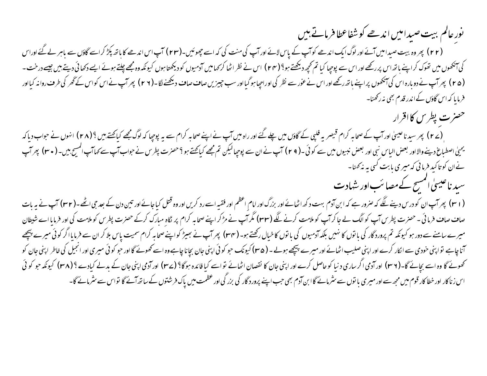نور عالم ببت صیدامیں اندھے کو شفاعطا فرماتے ہیں

(۲۲) پھروہ بیت صیدامیں آئے اور لوگ ایک اندھے کوآپ کے پاس لائے اور آپ کی منت کی کہ اسے چھوٹیں۔(۲۲) آپ اس اندھے کا ہاتھ پکڑ کراسے گاؤں سے باہر لے گئے اوراس کی آنکھوں میں تھوک کراپنے باتھ اس بررکھے اور اس سے پوچپا کیا تم تحچھ دیکھتے ہوا جو اس کرا کر کرا کر ورکھتا ہوں کیونكہ وہ مجھے چلتے ہوئے ایسے دکھائی دیتے ہیں جیسے درخت ۔ (۲۵) پھرآپ نے دوبارہ اس کی آنکھوں پراپنے ہاتھ رکھے اور اس نے عور سے نظر کی اوراجپاہوگیا اور سب حیزیں صاف دیکھنے گا۔(۲۹) پھرآپ نے اس کواس کے گھر کی طرف روانہ کیااور فرمایا کہ اس گاؤں کے اندر قدم بھی نہ رکھنا۔

حصرت پطرس کااقرار

ِ (٢۷) پھر سیدناعیسیٰ اور آپ کے صحابہ کرام قیصر یہ فلپی کے گاؤں میں جانے گئے۔ ایسے صحابہ کرام سے یہ پوچپا کہ لوگ مجھے کیاچھتے ہیں ؟ (٢٨) انہوں نے حواب دیاکہ یحیٰ اصطباغ دینےوالااور بعض الیاس نبی اور بعض نبیوں میں سے کوئی ۔( ۲ e ) آپ نے ان سے پوچھالیکن تم مجھے کیاچھتے ہیں۔( سی پیش کی اس پھرآپ نے ان کو تاکید فرمانی کہ میری بابت کسی ہہ نہ کھنا۔

سید ناعیسیٰ انمسح کے مصائب اور شہادت

( r ۱ ) پھرآپ ان کو درس دینے لگے کہ صرور ہے کہ ابن آدم بہت دکھ اٹھائے اور بزرگ اور انھ اور تحت کی بحار اس کے است کے بعد جی اٹھے۔( r r) آپ نے یہ بات صاف صاف فرما ئی - حصرت پطرس آپ کو الگ لے جا کرآپ کو ملامت کرنے لگ**ے (۲۳) مگر آ**پ نے مڑکرا پئے صحابہ کرام پر نگاہ مبارک کرکے حصرت پطرس کو ملامت کی اور فرمایا اے شیطان میرےسامنے سے دور ہو کیونکہ تم پروردگار کی باتوں کا نہیں بلکہ آدمیوں کا خیال رکھتے ہو۔ ( یہ اپ نے سیٹ کو اپنے صحابہ کرام سمیت پاس بلا کر ان سے فرمایا اگر کوئی میرے پیچھے آنا چاہے تواپنی خودی سے ا<sub>لکا</sub>ر کرے اور اپنی صلیب اٹھائے اور میرے پیچھے ہوئے۔ (۳۵) کیونک حوالی باتا چاہے وہ اسے کھوٹے گا اور حو کوئی میری اور انجیل کی خاطر اپنی جان کو تھوٹے گا وہ اسے بچائے گا-(۳۶) اور آدمی اگر ساری دنیا کوحاصل کرے اور اپنی جان کا انفسان اٹھانے تواسے کیاوٹ کیارہ (۳۸) کیونکہ جو کوئی گیادے ؟(۳۸) کیونکہ جو کوئی اس زناکار اور خطا کار قوم میں مجھ سے اور میری با توں سے سٹرمائے گاا بن آدم بھی جب اپنے پرورد گار رو عظمت میں پاک فرشتوں کے ساتھ آئے گا تواس سے سٹرمائے گا-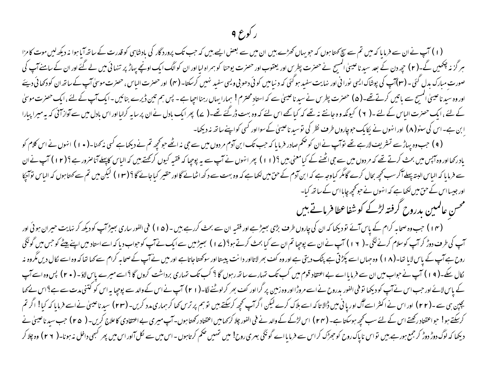#### ر کورع ۹

(۱) آپ نے ان سے فرمایا کہ میں تم سے سچ کھتا ہوں کہ حویہاں کھڑے بیں ان میں سے بعض ایسے بین کے ساتھ کو قدرت کے ساتھ آبا ہوا نہ دیکھ لیں موت کا مزا ہر گزنہ چکھیں گے۔(۲) حید دن کے بعد سید ناعیسیٰ اکمیبح نے حصرت پطرس اور یعقوب اور حصرت یوحنا کو ہماراں کوالگ ایک اونچے پہاڑ پر تنہائی میں لے گئے اور ان کے سامنےآپ کی صورت مبارک بدل گئی۔(۳)آپ کی پوشاک ایسی نورانی اور نهایت سفید ہوگئی کہ د نیامیں کوئی ویسی سفید نهیں کرسکتا۔(۴) اور حصرت الیاس، حصرت موسیٰ آپ کے ساتھ ان کودکھائی دیئے اور وہ سید ناعیسیٰ اکمیسح سے باتیں کرتےتھے۔( ۵) حصرت پطرس نے سید ناعیسیٰ سے کہ استاد محتار ہے۔ پس سم تین ڈیرے بنائیں -ایک آپ کے لئے ،ایک حصرت موسیٰ کے لئے ،ایک حصرت الیاس کے لئے ۔( ۲ ) کیونکہ وہ جانتے نہ تھے کہ کیا تھے اس لئے تھے۔( ے) پھرایک بادل نے ان پرسایہ کرلیااور اس بادل میں سے آواز آئی کہ یہ میرا پیارا ابن ہے۔اس کی سنو( ۸) اور انہوں نے یکایک حوچاروں طرف نظر کی توسید ناعیسیٰ کے سوااور کسی کواپنے ساتھ نہ دیکھا۔

( ۹ ) حب وہ پہاڑسے تسٹریف لارہے تھے توآپ نے ان کو حکم صادر فرمایا کہ حب تک ابن آدم مر دوں میں سے جی نہ اپنے کی نہ کہنا۔( • ۱ ) انہوں نے اس کلام کو یادرکھااور وہ آپس میں بحث کرتے تھے کہ مر دوں میں سے جی اٹھنے کے کیامعنی بیں (۱۱) پھر انہ سے یہ پوچا کہ فقیہ کیوں کرکھتے ہیں کہ الیاس کاپہلےآناصرور ہے؟(۱۲) آپ نےان سے فرمایا کہ الباس البتہ پہلے آگرسب کحچھ بحال کرے گامگر کیا وہ بس کی جانب کے میں کرنا کرنے کی جانے کا بھی اس کا لیکن میں تم سے کہتا ہوں کہ الباس توانچا اور جیسااس کے حق میں لکھاہے کہ انہوں نے حو محچھ جاپااس کے ساتھ کیا۔

محسن عالميين بدروح گرفته لڑکے کو شفاعطا فرماتے ہیں

(۴ ) جب وہ صحابہ کرام کے پاس آئے تو دیکھا کہ ان کی چاروں طرف بڑی بھیڑہے اور فقیہ ان سے بحث کررہے ہیں۔(۵ ا ) فی الفور ساری بھیڑ آپ کو دیکھ کر نہایت حیران ہوئی اور سپ کی طرف دوڑ کر آپ کوسلام کرنے لگی۔( ۱۲) آپ نے ان سے پوچیا تم ان سے کیا بحث کرتے ہو؟(ے ا ) سجیڑ میں سےایک نے آپ کے استاد میں اپنے پیٹے کو حس میں گونگی روح ہےآپ کے پاس لایا تھا۔( ۱۸ ) وہ جہاں اسے پکڑتی ہے پٹک دیتی ہے اور وہ کف بھر لاتااور دانت پیستااور سوکھتاجاتاہے اور میں نےآپ کے صحابہ کرام سے کہا تھا کہ وہ اسے کال دیں مگروہ نہ لکال سکے۔( ۹ ) ) آپ نے حواب میں ان سے فرمایا اے بے اعتقاد قوم میں کب تک تہارے ساتھ رہوں گا ، سکت کروں گا ؟ اسے میرے پاس لاؤ۔ ( • ۲) پس وہ اسے آپ کے پاس لائے اور جب اس نے آپ کو دیکھا تو فی الفور بدرورح نے اسے مروڑااور وہ زمین پر گرااور کھنے لگا-( ۲ ) آپ نے اس کے والد سے پوچیا یہ اس کو کتنی مدت سے بے؟اس نے کہا بچپن ہی سے۔(۲۲) اور اس نے اکثر اسےآگ اوریا نی میں ڈالا تاکہ اسے ہلاک کرنے لیگ گریں۔(سر کریں۔(۲۳) سیدناعیں نے اسے فرمایا کہ کیا! اگر تم کرسکتے ہو! حواعقتاد رکھتے اس کے لئے سب کچھ ہوسکتا ہے۔ (۲۴ ) اس لڑکے کے والد نے فی الفور کچلا ہوں۔ اس میری بے اعتقادی کاعلاج کریں۔ ( ۲۵ ) جب سید ناعیسیٰ نے دیکھا کہ لوگ دوڑ کر جمع ہورہے ہیں تواس ناپاک روح کوحوظک کراس سے فرمایااے گونگی ہیری روح! میں ضکم کرتاہوں -اس میں سے لکل آاور اس میں پھر کبھی داخل نہ ہونا۔( ۲ ۲ ) وہ چلا کر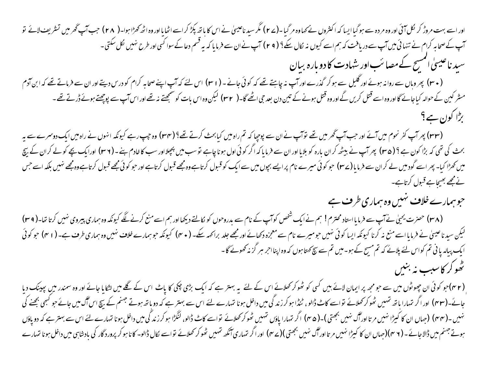اور اسے بہت مروڑ کر لکل آئی اور وہ مردہ سے ہوگیا ایسا کہ اکثر وں نے کہا ۔(۲۷) مگر سے اس کا باتھ بکڑ کر اسے اٹھایا اور وہ اٹھ کھڑاہوا۔( ۲۸) جب آپ گھر میں تسریف لائے تو ۔<br>اب کے صحابہ کرام نے تنہائی میں آپ سے دریافت کہ ہم اسے کیوں نہ لکال سکے؟ ( ۲ e ) آپ نے ان سے فرمایا کہ یہ قسم دعا کے سوا کسی افراد طرح مہیں لکل سکتی -سید ناعیسیٰ اسمیح کے مصائب اور شہادت کا دو بارہ بیان (۳۰) پھروہاں سے روانہ ہوئے اور گلیل سے ہوکر گذرے اور آپ نہ چاہئے تھے کہ کوئی جانے – ( ۳۱) اس لئے کہ آپ اپنے صحابہ کرام کو درس دیتے اور ان سے فرماتے تھے کہ ابن آدم مشر کین کے حوالہ کیاجائے گااور وہ اسے قتل کریں گے اور وہ قتل ہونے کے تین دن بعد جی اٹھے گا۔( r۲) لیکن وہ اس اوکسچھتے نہ تھے اور اس آپ سے پوچھتے ہوئے ڈرتے تھے۔ بڑا کون ہے؟

(۳۳) پھرآپ کفر نحوم میں آئے اور حب آپ گھرمیں تھے توآپ نے ان سے پوچپا کہ تم راہ میں کیابحث کرتے تھے؟ (۳۴) وہ چپ رہے کیونکہ انہوں نے راہ میں ایک دوسرے سے یہ بحث کی تھی کہ بڑا کون ہے ؟ ( ۳۵) پھرآپ نے بیٹھ کران بارہ کو بلایا اور ان سے فرمایا کہ اگر کوئی اول جب میں پچلا اور سب کا خادم بنے۔( ۳۷) اورایک بچے کولے کران کے بیچ میں کھڑا کیا۔ پھر اسے گودمیں لے کران سے فرمایا (۲۳) حو کوئی میرے نام پراہے بچیں سے ایک کو تاسے اور اس کو ایک محصے قبول کرتاہے وہ مجھے نہیں بلکہ اسے جس نے مجھے بھیجاہے قبول کرتاہے۔

حوہمارے خلاف نہیں وہ ہماری طرف ہے

(۳۸) حصرت یحیٰ نےآپ سے فرمایااستاد محترم! ہم نےایک شخص کوآپ کے نام سے بدروحوں کو لکالتے دیکھااور ہم اسےمنع کرنے لگے کیونکہ وہ ہماری پیروی نہیں کرتا تھا-( ۳۹) لیکن سید ناعیسیٰ نے فرمایااسے منع نہ کرنا کیونکہ ایسا کوئی منبیں جومعیرے معنی اور پھے جارے کی کیونکہ جوسمارے خلاف نہیں وہ ہماری طرف ہے۔ ( ا ۴) حو کوئی ایک پیالہ یا ٹی تم کواس لئے پلانے کہ تم مسیح کے ہو۔میں تم سے سچ کھتا ہوں کہ وہ اپنااحر ہر گز نہ کھونے گا۔ تھو کر کاسب نہ بنیں

(۳۲)حو کوئی ان چھوٹوں میں سے حومجھ پر ایمان لائے بیں کسی کو ٹھوکر کھلائے اس کے بار کی بڑی پانچ اس لے لگے میں لٹکایا جائے اور وہ سمندر میں پھینک دیا جائے-(۴۳) اور اگر تہارا ہاتھ تہیں ٹھوکر کھلائے تواسے کاٹ ڈالو، ٹنڈا ہوکرزندگی میں راخل ہوا ہے بہتر ہے کہ دوباتھ ہوتے جہنم کے بیچ اس آگ میں جائے حو کسی بجھنے کی نہیں۔(۴۴) (جہاں ان کا کیڑا نہیں مرتااور آگ نہیں بھتی)۔(۴۵) اگر تہارا یاؤں تہیں ٹھوکر کھلائے تواسے کاٹے ڈالو، لنگڑا ہوکرزند گی میں داخل ہونا تہارے لئے اس سے بہترہے کہ دو یاؤں ہوتے جسم میں ڈالاجائے۔( ۳ م)(صاں ان کا کیڑا نہیں مر تااوراگ نہیں بھی کر کھلاتے تو اسے کال ڈالو۔ کا ناہو کر پرورد گار کی بادشاہی میں داخل ہونا تہارے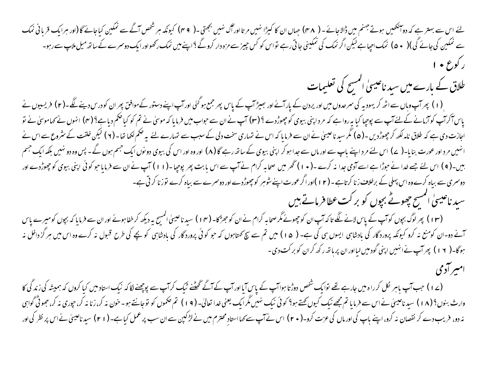یئے اس سے بہتر ہے کہ دو آنکھیں ہوتے جہنم میں ڈالاجائے ۔ ( ۴۸) جہاں ان کا کیڑا نہیں نااوراگ نہیں بھچتی ۔( ۴۹) کیونکہ ہر شخص آگے سے نمکین کیاجائے گا(اور ہرایک قربانی نمک سے نمکین کی جائے گی)( • ۵) نمک اجپاہےلیکن اگرنمک کی نمکینی جاتی رہے تواس کو کس جیز سے مزہ دار کچنا پنے میں نمک رکھواور ایک دوسرے کے ساتھ میل ملاپ سے رہو۔ ر کوع • ۱

طلاق کے بارے میں سید ناعیسیٰ انمسح کی تعلیمات

(۱) پھرآپ وہاں سے اٹھ کر یہودیہ کی سمرحدوں میں اور یردن کے پارآئے اور بھیڑ آپ کیا تا ہے جس کی اس کی درس کو درس دینے لگے۔(۲) فریسیوں نے یاس آکراپ کوارمانے کے لئے آپ سے پوچپا کیا یہ روایت کہ مرداپنی بیوی کوچھوڑدے ؟ (۳) آپ نے اس فرمایا کہ موسل نے تم کو کیا حکم دیاہے؟ (۴) انہوں نے کہاموسل نے او اجازت دی ہے کہ طلاق نامہ لکھ کر چھوڑ دیں ۔( ۵) مگر سید ناعیسیٰ نے ان سے فرمانا سان کے سارے سے تہارے لئے یہ ضکم لکھا تھا - ( ۲ ) لیکن خلقت کے سٹروع سے اس نے انہیں مرد اور عورت بنایا۔( ے) اس لئے مرد اپنے باپ سے اور ماں سے جدا ہو کر اپنی بیوی (کا اور اس اور وہ اور اس کی بیوی دو نوں ایک جسم ہوں گے۔ پس وہ دو نہیں بلکہ ایک جسم بیں۔( ۹ ) اس لئے جسے خدا نے حوڑا ہے اسے آدمی جدا نہ کرے ۔( • ۱ ) تھر میں صحابہ کرام نے اس پھر پوچھا۔( ۱ ا ) آپ نے ان سے فرمایا حو کوئی اپنی بیوی کو چھوڑدے اور دوسمری سے بیاہ کرے وہ اس پہلی کے برخلاف زنا کرتاہے۔(۱۲)اور اگر عورت اپنے شوہر کو چھوڑدے اور دوسمرے سے بیاہ کرے نوزنا کرتی ہے۔

سید ناعیسیٰ انمسج چھوٹے بچوں کو بر کت عطا فرماتے ہیں

(۱۳) بھرلوگ بجوں کوآپ کے پاس لانے لگے تاکہ آپ ان کو چھوٹے مگر صحابہ کرام نے ان کوجھڑکا- (۱۴) سیرناعیسیٰ المسح یہ دیکھ کر خفاہونے اور ان سے فرمایا کہ بجوں کومیرے پاس آنے دو-ان کومنع نہ کرو کیونکہ پروردگار کی بادشاہی ایسوں ہی کی ہے۔ ( ۱۵ ) میں تم سے سچ کہناہوں کو اچ کی طرح قبول نہ کرے وہ اس میں ہر گز داخل نہ ہوگا-( ۱۲) پھرآپ نےانہیں اپنی گودمیں لیااور ان پر ہاتھ رکھ کران کو برکت دی -

امسر آدمی

(ے ا ) جب آپ باہر لکل کرراہ میں جارہے تھے توایک شخص دوڑتا ہواآپ کے ایاں آیااور آپ کے گھٹنے ٹیک کرنے پوچھنے لگا کہ نیک استاد میں کیا کروں کہ ہمیشہ کی زندگی کا وارث بنوں؟ (۱۸) سید ناعیسیٰ نے اس سے فرمایا تم مجھے نیک کیول کیے تھی کر کیا گیا ۔(۱۹) تم صحموں کو توجانتے ہو۔خون نہ کر، جوری نہ کر، جھوٹی گواہی نہ دو، فریب دے کر نقصان نہ کرو، اپنے باپ کی اور ماں کی عزت کرو۔( • ۲) اس نے آپ سے پر اس سے ان سب پر عمل کیاہے۔( ا ۲) سید ناعیسٰ نے اس پر نظر کی اور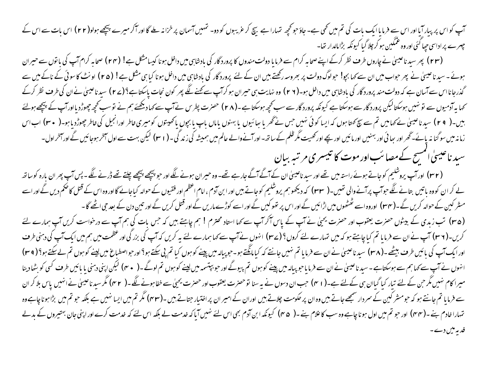سپ کو اس پر پیار آیا اور اس سے فرمایا ایک بات کی تم میں تھی ہے۔ جاؤ حو محچھ تہارا ہے تھے کہ درستر سے کا اور آکر میرے پیچھے ہولو(۲۲ ) اس بات سے اس کے چہرے پر اداسی حیا کئی اور وہ عمکین ہو کر چلا گیا کیونکہ بڑامالدار تھا۔

(۲۳) پھر سید ناعیسیٰ نے چاروں طرف نظر کرکے اپنے صحابہ کرام سے فرمایا دولت مندوں کا پرورد گار کی بن داخل ہونا کیسامشک ہے! (۲۴) صحابہ کرام آپ کی باتوں سے حیران ہوئے۔سید ناعینیٰ نے پھر حواب میں ان سے کہا بجو! حولوگ دولت پر بھروسہ رکھتے ہیں ان کے لئے پروردگار کی بین داخل ہونا کیا ہی مثلا ہے! (۲۵) اونٹ کاسوئی کے ناکے میں سے گذرجانااس سے آسان ہے کہ دولت مند پرورد گار کی بادشاہی میں داخل ہو۔(۲ ۲) وہ نہایت بی کرکش سے مجنے لگے پھر کون نجات پاسکتاہے؟(ے۲) سیدناعیسیٰ نےان کی طرف نظر کرکے کھا یہ آدمیوں سے نو نہیں ہوسکتالیکن پرورد گار سے ہوسکتا ہے لیکھی جوسکتا ہے۔(۲۸) حصرت پطرس نے آپ سے کھا دیکھئے ہم نے نوسب کحچھ جھوڑدیااورآپ کے پیچھے ہولئے بیں۔( ۲۹) سیدناعیسیٰ نے کہامیں تم سے سچ کھتاہوں کہ ایسا کوئی نہیں جس نے گھر یا جانب یا باس باپ کی پاسچیں کو ایس کورانجیل کی خاطر چھوڑدیاہو۔( ۳۰) اباس زمانہ میں سوگنا نہ پائے۔گھر اور جائی اور اپنیس اور پائیں اور نے اور سیسے کو الے عالم میں ہمیشہ کی زند گی۔( r ۱) لیکن بهت سے اول آخر ہوجائیں گے اور آخراول۔ سید ناعیسیٰ امسیح کے مصائب اور موت کا تبیسری مرتبہ بیان

(۳۲) اورآپ پروشلیم کوجاتے ہوئے راستہ میں تھے اور سید ناعیسیٰ ان کے آگے جارہے تھے- وہ حسران ہونے لگے اور حبو پیچھے پیچھے چلتے تھے ڈرنے لگے۔ پس آپ پھر ان بارہ کوساتھ لے کر ان کووہ باتیں بتانے لگے حوآپ پرآنے والی تھیں۔( ٣٣) کہ دیکھوہم پروشلیم کوجاتے ہیں اور ام اعظم اور فقیوں کے حوالہ کباجائے گااور وہ اس کے قتل کاضم دیں گے اور اسے مسٹر کین کے حوالہ کریں گے **۔( یہ ۱۰)** اوروہ اسے ٹھٹھوں میں اڑائیں گے اور اس پر تھوکیں گے اور قتل کریں گے اور تین دن کے بعد جی اٹھے گا ۔ (۳۵) تب زبدی کے بیٹوں حصرت یعقوب اور حصرت یحیٰ نے آپ کے پاس آکر آپ سے کہا استاد محترم! ہم چاہتے بیں کہ حب بات کی ہم آپ سے درخواست کریں آپ ہمارے لئے کریں-(۳۶) آپ نے ان سے فرمایا تم کیا چاہتے ہو کہ میں تہارے لئے کروں؟(ے۲) انہوں نے آپ کے بیر کریں کہ آپ کی بزر گی اور عظمت میں ہم میں ایک آپ کی دہنی طرف اور ایک آپ کی بائیں طرف بیٹھے۔(۳۸) سید ناعیسیٰ نے ان سے فرمایا تم نہیں جانتے کہ کیا ہائیں پینے کو ہوں کیا تم پی سکتے ہوا اور حواصطباع میں لینے کوہوں تم لے سکتے ہو!( ۳۹) انہوں نے آپ سے کہا ہم سے ہوسکتاہے۔ سید ناعیسیٰ نےان سے فرمایاحو پبالہ میں پینے گور اور جو بپتسمہ میں لینے کوہوں تم لوگے۔( ہ م) لیکن اپنی دمنی یا بائیں طرف کسی کو بٹھادینا میرا کام منبیں مگر حن کے لئے تیار کیا گیاان ہی کےلئے ہے۔( ا م) حب ان دسوں نے یہ سنا توحصرت بھی سے سے سے خفاہونے لگے۔( ' مہ) مگر سید ناعینی نے انہیں پاس بلا کر ان سے فرمایا تم جانتے ہو کہ حومشر کین کے سردار سمجھے جاتے بیں وہ ان پر گوران کے امیر ان پر اختیار جتاتے بیں ۔(۴۲) مگر تم میں ایسا نہیں ہے بلکہ حو تم میں بڑاہونا چاہے وہ تہارا خادم بنے۔(۴۴) اور حو تم میں اول ہونا چاہے وہ سب کا علام بنے۔( ۴۵) کیونکہ ابن آدم بھی اس لئے کہ گیکہ اس لئے کہ خدمت کرے اور اپنی جان بهتیروں کے بدلے فدیہ میں دے۔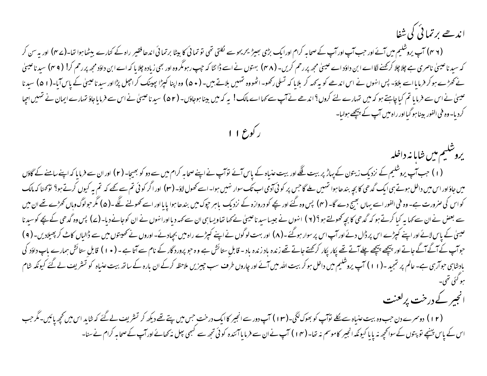اندھے برتمائی کی شفا

(۴ ۲) آپ یروشلیم میں آئے اور حب آپ اور آپ کے صحابہ کرام اورایک بڑی بھیڑ یحریحو سے لکلتی تھی لا پانچا برتمائی اندھا فقیر راہ کے کنارے بیٹھاہوا تھا۔(۲ م) اور یہ سن کر کہ سید ناعیسیٰ ناصری ہے چلاچلا کرکھنے لگا اے ابن داؤد اے عیسیٰ مجھ پر رحم کریں۔ (۴۸) بہتوں نے اسے ڈربھی زیادہ چلا یا کہ اے ابن داؤد مجھ پررحم کر! (۴۹) سید ناعیسیٰ نے کھڑے ہو کر فرمایا اسے بلاؤ۔ پس انہوں نے اس اندھے کو یہ کہہ کر بلایا کہ تسلیق بلنے کرائیں انکی اس کراچل پڑااور سیدناعيسٰ کے پاس آيا-(١ ۵) سيدنا عیسیٰ نے اس سے فرمایا تم کیا چاہتے ہو کہ میں تہارے لئے کروں؟ اندھے نے آپ سے کہا اے ماک بینا ہوجاؤں- (۵۲) سید ناعیسیٰ نے اس سے فرمایا جاؤ تہارے ایمان نے تہیں احیا کردیا- وہ فی الفور بیناہو گیااور راہ میں آپ کے ہ<del>تیج</del>ے ہولیا-

ر کوع ۱۱

يروشليم مين شابا نه داخله (۱) جب آپ یروشکیم کے نزدیک زیتون کے پہاڑ پر بیت غنگے اور بیت عنیاہ کے پاس آئے توآپ نے اپنے صحابہ کرام میں سے دو کو بھیجا- (۲) اور ان سے فرمایا کہ اپنے سامنے کے گاؤں میں جاؤاور اس میں داخل ہوتے ہی ایک گدھی کا بجہ بندھاہوا شہیں لے گاجس پر کوئی آدمی اسے سے اس اور اگر کوئی تم سے تھے کہ تم یہ کیوں کرتے ہو؟ تو گھنا کہ مالک کواس کی صرورت ہے۔ وہ فی الفور اسے یہاں بھیج دے گا۔ (۴) پس وہ گئے اور بچے کو دروازہ کے نزدیک بیر بندھا ہوا پایا اور اسے کھولنے لگے۔(۵) مگر حولوگ وہاں کھڑے تھے ان میں سے بعض نے ان سے کہا یہ کیا کرتے ہو کہ گدھی کا بچہ کھولتے ہو ؟ ( ۲ ) انہوں نے کہا تھاویسا ہی ان کورانہوں نے ان کوجانے دیا- (۷) پس وہ گدھی کے بچے کوسیدنا عیںٰ کے پاس لائے اور اپنے کپڑے اس پر ڈال دئے اور آپ اس پر سوار ہوگئے۔( ۸) اور بہت لوگوں نے کپڑے راہ میں بچادئے۔اوروں نے تھیتوں میں سے ڈالیاں کاٹ کر پھیلادیں۔( ۹) حواب کے اگے جاتے اور پیچھے پیچھے چلے آتے تھے پکار پکار کرکھتے جاتے تھے زندہ باد - قابلِ ستائش ہے وہ حبو پرورد گار سے آتا ہے - ( • ۱ ) قابلِ ستائش ہمارے باپ داؤد کی بادشاہی حواربی ہے- عالم پر تمجید -(۱۱) آپ یروشکیم میں داخل ہو کر بیت اللہ میں آئے اور چارد کے اس کرکے ان بارہ کے ساتھ بیت عنیاہ کو تسریف لے گئے کیونکہ شام مبو کئی تھی۔

انجير كے درخت پرلعنت

(۱۲) دوسرے دن حب وہ بیت عنیاہ سے لکے نوآپ کو بھوک لگی-(۱۳) آپ دور سے انجیر کاایک درخت حس میں پتے تھے دیکھ کر تشریف لے گئے کہ شاید اس میں کچھ پائیں۔مگر حب اس کے پاس پہنچے تو پتوں کے سوانحچھ نہ پایا کیونکہ انجیر کاموسم نہ تھا۔(۱۴) آپ نے ان سے ڈپر سے کسی پھل نہ کھانے اورآپ کےصحابہ کرام نے سنا۔<br>اس کے پاس پہنچے تو پتوں کے سوانحچھ نہ پایا کیونکہ انجیر کاموسم نہ تھا۔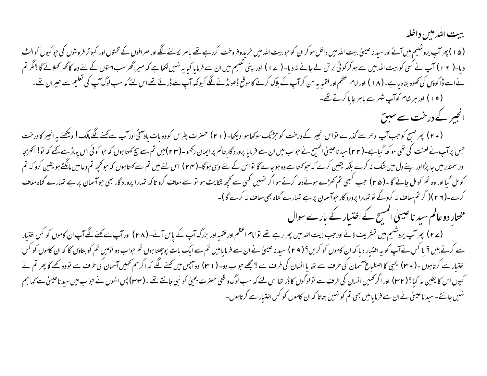#### ببيت التُدمين داخله (۵۱) پھرآپ پروشلیم میں آئے اور سید ناعیسیٰ بیت اللہ میں داخل ہو کر ان کوجو بیت اللہ میں خررے تھے باہر کالنے لگے اور صرافوں کے تختوں اور کبوتر فروشوں کی جوکیوں کوالٹ دیا۔( ۱۲) آپ نے کسی کو بیت الٹد میں سے ہوکر کوئی بر تن لے جانے نہ دیا- ( ۱۷) اور اپنی تعلیم میں ایک پی نہیں لکھاہے کہ میراگھر سب امتوں کے لئے دعا کاگھر کہلائے گا ؟مگر تم نےاسے ڈاکوؤں کی کھوہ بنادیاہ۔(۱۸) اور امام اعظم اور فقیہ یہ سن کراپ کے بلاک کرنے کاموقع ڈھونڈنے گئے۔ سن لٹ کے سن لوگ آپ کی تعلیم سے حیران تھے۔ (۱۹) اور ہر شام کوآپ شہر سے ماہر جا یا کرتے تھے۔ انجیر کے درخت سے سبق

(۲۰) پھر صبح کو حب آپ ادھرسے گذرے نواس انجیر کے درخت کوحرِثنگ سوکھا ہوا دیکھا- (۲۱) حصرٰت پطرس کووہ بات پادآئی اورآپ سے کہنے لگے مالک! دیکھئے یہ انجیر کا درخت جس پرآپ نے لعنت کی تھی سو کھ گیاہے۔(۲۲)سید ناعیسیٰ المسیح نے حواب میں ان سے فرمایا پرورد گارعالم پرایمان رکھو۔(۲۳)میں تم سے سچ کہتا ہوں کہ حو کوئی اس پہاڑسے تھے کہ تو! اکھڑجا اور سمندر میں جا پڑااور اپنے دل میں شک نہ کرے کہ لیکھیں کرے کہ حوکہتا ہے وہ اس کے لئے وہی ہوگا (۲۴) اس لئے میں تم سے کہتا ہوں کہ حوکچھ تم دعامیں مانگتے ہو یقین کرو کہ تم کومل گیا اور وہ تم کومل جائے گا -(۲۵ مب کسجی تم کھڑے ہوئےدعا کرتے ہواگر تہیں کسی سے کچھ شکایت ہواف کرو تاکہ تہارا پرورد گار بھی حواسمان پر ہے تہارے گناہ معا**ف** کرے۔(۲ ۲)(اگر تم معاف نہ کروگے تو تہارا پرورد گار حوآسمان پر ہے تہارے گناہ بھی معاف نہ کرے گا)۔

مختار دو عالم سید ناعیسیٰ اسسح کے اختیار کے بارے سوال

(ے ۲) بھر آپ یروشلیم میں تسٹریف لائے اورحب بیت اللہ میں بھر رہے تھے تو امام اعظم اور فقیہ اور برگ آپ (۲۸) اور آپ سے کہنے لگے آپ ان کاموں کو کس اختیار سے کرتے ہیں ؟ یا کس نے آپ کو یہ اختبار دیا کہ ان کاموں کو کریں؟ ( ۲ ۹ ) سید ناعیسیٰ نے ایاسے تم جواب دو تو اس دو تو ہیں تم کو بتاؤں گا کہ ان کاموں کو کس اختیار سے کرتاہوں ۔( • ٣٠) یحییٰ کا اصطباع آسمان کی طرف سے قائم ہے جسے جواب دو۔ ( ٢٠١) وہ آپس میں کھنے لگے کہ اگر ہم تھمیں آسمان کی طرف سے تووہ کھے گا پھر تم نے کیوں اس کا یقین نہ کیا؟ ( r۲) اور اگر کہیں انسان کی طرف سے تولوگوں کا ڈر تھا اس لئے کہ سب لوگوں کو نبى جانتے تھے۔(r۳) پس انہوں نے حواب میں سید ناعیسیٰ سے کہا ہم نہیں جانتے۔سید ناعیسیٰ نے ان سے فرمایامیں بھی تم کو نہیں بتاتا کہ ان کاموں کو کس اختیار سے کرتاہوں۔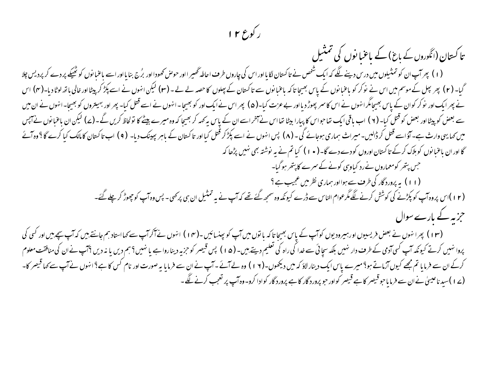### رکوع ۱۲

تا کستان (انگوروں کے باغ) کے باعنیا نوں کی تمثیل

(۱) پھرآپان کو تمثیلوں میں درس دینے لگے کہ ایک شخص نے تاکستان لگایااور اس کی چاروں طرف احالہ تحصیر ااور جرمعن کحفودااور برُج بنایااور اسے باعنبانوں کو ٹھیکے پر دے کر پردیس چلا گیا۔ (۲) پھر پیل کے موسم میں اس نے نوکر کو باعنبانوں کے پاس بھیجا تاکہ باعنبان کے پہلوں کا حصہ لے ۔(۳) لیکن انہوں نے اسے پکڑ کرپیٹااور خالی باتھ لوٹا دیا۔(۴) اس نے پھر ایک اور نوکر کوان کے پاس بھیجامگرانہوں نے اس کاسمر پھوڑ دیااور بے عزت کیا۔(۵) پھر اس نے است قتل کیا۔ پھر اور بہیتروں کو بھیجا۔انہوں نے ان میں سے بعض کو پیٹااور بعض کو قتل کیا۔ (۲ ) اب باقی ایک تعاحواس کا پیارا بیٹا تعااس نے آخراسے ان کے کہ موہ میرے بیٹے کا تولحاظ کریں گے۔(۷) لیکن ان باعنا نوں نے آپس میں کہا یہی وارث ہے۔آؤ اسے قتل کر ڈالیں۔میراث ہماری ہوجائے گی۔ (۸) پس انہوں نے اسے پکڑکر قتل کیا اور تاکسان (۹) اس اس تاکستان کا مالک کیا کرے گا؟ وہ آئے گا اور ان باعنبا نوں کو ہلاک کرکے تاکستان اوروں کو دے دے گا۔ ( • ۱ ) کیا تم نے یہ نوشتہ بھی نہیں پڑھا کہ جس پتھر کومعماروں نےرد کیاوہی کونے کے سمرے کا پتھر ہو گیا۔

(۱۱) بہ پرورد گار کی طرف سے ہوااور ہماری نظر میں عجیب ہے ؟

(۱۲)اس پروہ آپ کو پکڑنے کی کوشش کرنے لگے مگرعوام الناس سے ڈرے کیونکہ وہ سمجھ گئے تھے کہ آپ نے یہ تمثیل ان ہی پرکھی۔ پس وہ آپ کو چھوڑ کر چلے گئے۔ جزیہ کے بارے سوال

(۱۳) پھرا نہوں نے بعض فریسیوں اورہیرودیوں کوآپ کے پاس بھیجا تاکہ بانوں میں آپ کو پینسائیں ۔(۱۴) انہوں نے آگرآپ سے کہااستاد ہم جانتے ہیں کہ آپ سچے ہیں اور کسی کی پروا نہیں کرتے کیونکہ آپ کسی آدمی کے طرف دار نہیں بلکہ سچائی سے ضدا کی راہ کی تعلیم کے شکس قید رہا ہے کہ میں پہنچ اس کی منافقت معلوم کی منافقت معلوم کرکے ان سے فرمایا تم مجھے کیوں آزماتے ہو؟ میرے پاس ایک دینار لاؤ کہ میں دیکھوں۔(۱۲) وہ لے آپ نے ان سے فرمایا یہ صورت اور نام کس کا ہے؟ انہوں نے آپ سے کہا قیصر کا-(ے ۱ )سید ناعیسیٰ نے ان سے فرمایاحو قیصر کا ہے قیصر کواور حو پرورد گار کا ہے پرورد گار کوادا کرو۔ وہ آپ پر تعجب کرنے گئے ۔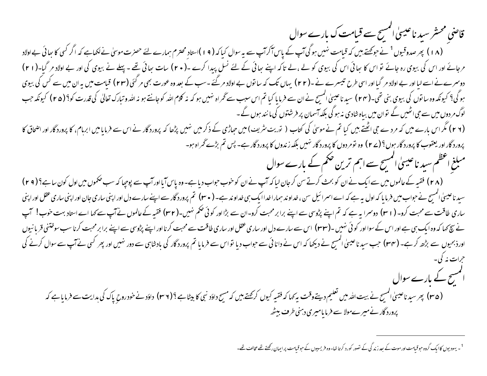قاضی محسّر سید ناعیسیٰ انمسیح سے قبامت ک بارے سوال (۱۸) پھر صدوقیوں<sup>1</sup> نے حوکمتے ہیں کہ قیامت نہیں ہو گی آپ کے پاس آکرآپ سے یہ سوال کیا کہ (۱۹) ستاد محترم ہمارے لئے حصرت موسیٰ نے لکھاہے کہ اگر کسی کا ہعائی بے ا**ولاد** مرجائے اور اس کی بیوی رہ جائے تو اس کا جائی اس کی بیوی کو لے ،لے تاکہ اپنے جائی کے لئے نسل پیدا کرے ۔(۲۰) سات جائی تھے -پہلے نے بیوی کی اور بے اولاد مر گیا-(۲۱) دوسرےنے اسے لیا اور بے اولاد مر گیا اور اسی طرح تیسرے نے -(٢٢) یہاں تک کہ ساتوں بے اولاد مر گئے دسب کے بعد وہ عورت بھی مر گئی (٢٣) قیامت میں یہ ان میں سے کس کی بیوی ہوگی؟ کیونکہ وہ سا توں کی بیوی بنی تھی۔(۲۴ ) سید ناعیسیٰ المسیح نے ان سے فرما یا کیا تم اس سکت ہو کہ اللہ کوجانتے ہو نہ اللہ وتبارک تعالیٰ کی قدرت کو؟(۲۵ ) کیونکہ جب لوگ مر دوں میں سے جی اٹھیں گے توان میں بیاہ شادی نہ ہو گی بلکہ آسمان پر فرشتوں کی ما نند ہوں گے ۔ (۲ ۲) مگر اس بارے میں کہ مردے جی اٹھتے بیں کیا تم نے موسیٰ کی کتاب ( توریت سٹریٹ) میں حیاظی بڑھا کہ پرورد گار نے اس سے فرمایامیں ابرہام، کا پروردگار اور اضحاق کا پرورد گار اور یعقوب کا پرورد گار ہوں <sup>9</sup> (۲۷) وہ تومر دوں کا پرورد گار <sup>نہ</sup>یں بلکہ زندوں کا پرورد گار ہے۔ پس تم بڑ*ے گ*ر اہ ہو۔ مبلغ اعظم سید ناعیسیٰ المسیح سے اہم ترین حکم کے بارے سوال (۲۸) فقیہ کے عالموں میں سے ایک نے ان کو بحث کرتے سن کرجان لیا کہ آپ نے ان کوخوب حواب دیا ہے-وہ پاس آیااور آپ سے پوچپا کہ سب حکموں میں اول کون ساہے؟(۲۹) سید ناعیسیٰ انمسِح نے حواب میں فرمایا کہ اول یہ ہے کہ اسے اسرائیل سی، خداوند ایک ہی نے (۳۰) تم پرورد گار سے اپنے سارے دل اور اپنی ساری جان اور اپنی ساری عقل اور اپنی ساری طاقت سے محبت کرو۔ ( r ۱ کا دوسرا یہ ہے کہ تم اپنے بڑوسی سے اپنے برابر محبت کرو۔ان سے بڑااور کوئی حکم نہیں۔( r۲) فقیہ کے عالموں نے آپ سے کہا اے استاد بہت خوب! آپ نے سچ کہا کہ وہ ایک ہی ہے اور اس کے سوااور کوئی نہیں۔(۳۳) اس سے سارے دل اور ساری طاقت سے محبت کرنا اور اپنے بڑوسی سے اپنے برابر محبت کرنا سب سوختنی قربا نیوں اورذبحیوں سے بڑھ کرہے۔ (۳۴) جب سیدناعیںٰ المسح نے دیکھا کہ اس نے دانائی سے حبواب دیا تواس سے فرمایا تم پروردگار کی بادشاہی سے دور نہیں اور پھر کسی نے آپ سے سوال کرنے کی حرات نه کې په الممسح کے بارے سوال (۳۵) پھرسیدناعیسیٰ المسیح نے بیت <sub>الٹھ</sub>رمیں تعلیم دیتےوقت یہ کہا کہ فقیہ کیوں کہ کسیکے داؤد ہے اور اور سے خودرو<sub>رح</sub> پاک کی ہدایت سے فرمایاہے کہ پرورد گار نے میرےمولا سے فرمایامیری دہنی طرف بیٹھ

<sup>&</sup>lt;sup>1</sup>۔ یہودیوں کاایک گروہ حبوقیامت اور موت کے بعد زند گی کے نصور کورد کرتا تھا۔وہ فریسیوں کے حبوقیامت پر ایمان رکھتے تھے مخالف تھے۔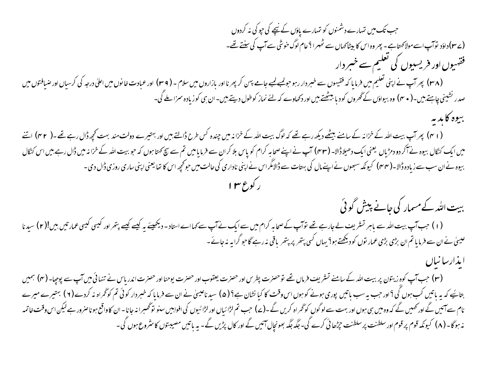جب تک میں تہارے دشمنوں کو تہارے یاؤں کے نیچے کی حیو کی نہ کردوں (ے ۱۳)داؤد نوآپ اسے مولاکھتاہے۔ پھر وہ اس کا بیٹاکھاں سے ٹھہرا ؟عام لوگ خوشی سے آپ کی سنتے تھے۔ فقہیوں اور فریسیوں کی تعلیم سے خسر دار (۳۸) پھرآپ نے اپنی تعلیم میں فرمایا کہ فقیہوں سے خبر دار رہو حولیے لیے جامے پہن کر بھرنااور بازاروں میں اور عبادت خانوں میں اعلیٰ درجہ کی کرسیاں اور ضیافتوں میں اعلیٰ درجہ کی کرسیاں اور ضیافتوں میں صدر <sup>ر</sup>شینی چاہتے ہیں۔( **مہ <sub>)</sub> وہ بیواؤں کے گھروں کود بابلیٹھتے ہیں اور دکھاوے کہ** لئے نماز کوطول دیتے ہیں۔ان ہی کوزیادہ سمزاملے گی۔ بيوه كابديه (۱۲) پھرآپ بیت اللہ کے خزانہ کے سامنے بیٹھے دیکھ رہے تھے کہ لوگ بیت اللہ کے خزانہ میں چراتے بیں اور بہتیرے دولت مند بہت کحچھ ڈال رہے تھے۔( ۴۲) اتنے میں ایک کنگال بیوہ نے آکر دو دمڑیاں یعنی ایک دھیلاڈالا۔ (۴۳) آپ نے اپنے صحابہ کرام کو پاس بل لاس سے خرات ہوں کہ حوبیت اللہ کے خزانہ میں ڈال رہے ہیں اس کنگال بیوہ نےان سب سے زیادہ ڈالا۔( مہم) کیونکہ سبھوں نے اپنےمال کی بہتات سے ڈالامگراس نے اپنی ناداری کی حالت میں حوکجچہ اس کا تھا یعنی اپنی ساری روزی ڈال دی۔ ببیت اللہ کے مسمار کی جانے پیش گوئی (۱) جب آپ بیت اللہ سے باہر تسٹریف لے جارہے تھے نوآپ کے صحابہ کرام میں سے ایک نے آپ سے کہا اے استاد - دیکھیئے یہ کیے پتھراور کیسی کیسی عمارتیں بیں!(۲) سیدنا عیسیٰ نےان سے فرمایا تم ان بڑی بڑی عمار توں کو دیکھتے ہو؟ یہاں کسی پتھر پر پتھر باقی نہ رہے گاحو گرایہ نہ جائے۔ (۳) جب آپ کوہ زیتون پر بیت اللہ کے سامنے تسٹریف فرماں تھے توحصرت پطرس اور حصرت ایوحنا وسا اور حصرت اندریاس نے تنہائى میں آپ سے پوچیا۔ (۴) ہمیں بتائیے کہ یہ باتیں کب ہوں گی؟اور حب یہ سب باتیں پوری ہونے کو ہوں اس وقت کا کیا نشان ہے؟ (۵) سید ناعیسیٰ نے ان سے فرمایا کہ خبر دار کوئی تم کوٹھراہ نہ کردے(۲) بہتیرے میرے نام سے آئیں گے اور کھیں گے کہ وہ میں ہی ہوں اور بہت سے لوگوں کو گڑ اہ کریں گے جب تم لڑائیاں اور لڑائیوں کی افوایس سنو تو گھبرا نہ جانا۔ان کاواقع ہوناصرور ہے لیکن اس وقت خاتمہ نہ ہوگا۔ (۸) کیونکہ قوم پر قوم اور سلطنت پر سلطنت حیڑھائی کرے گی۔ جگہ جگہ بھونچال آئیں گے اور کال پڑیں گے۔ یہ باتیں مصیبتوں کا سٹروع ہوں گی۔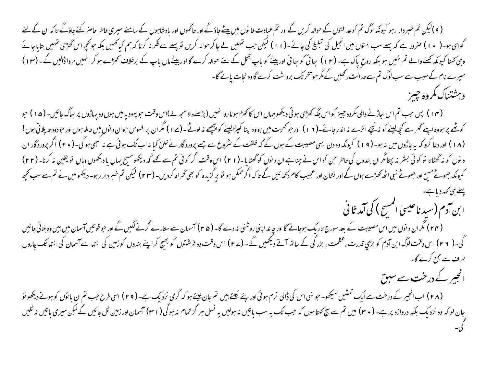( ۹ )لیکن تم خبر دار رہو کیونکہ لوگ تم کوعدالنوں کے حوالہ کریں گے اور سے پہنچ ہوئے اور حاکموں اور بادشاہوں کے سامنے میری خاطر حاصر کئے جاؤٹے تا کہ ان کے لئے گواہی ہو۔( • ۱ ) صرور ہے کہ پہلے سب امتوں میں انجیل کی تبلیغ کی جائے ۔(۱۱ ) لیکن جب تمہیر کریں توپہلے سے فکر نہ کرنا کہ ہم کیا کھیں بلکہ حوکچھ اس گھڑی تہیں بتایاجائے وہی کھنا کیونکہ کھنے والے تم نہیں ہو بلکہ روح پاک ہے۔ (۱۲) جائی کو ہیا گیا گیا تھا تھا کے لئے حوالہ کرے گااور بیٹے ماں باپ کے برخلاف کھڑے ہوکر انہیں مرواڈالیں گے۔(۱۳) میرے نام کے سبب سے سب لوگ تم سے عدالت رکھیں گے مگر حواسخر تک برداشت کرے گاوہ نجات یائے گا-دبرشتناك مكروه حيسز

(۴ ) پس حب تم اس اجاڑنے والی مکروہ جییز کو اس جگہ کھڑمی ہوئی دیکھوجہاں اس کاکھڑا ہوناروا نہیں (پڑ شخصا کر سور ویہ اڑوں پر ہاگ جائیں۔ (۵ ا ) حو کوٹھے پر ہووہ اپنے ٹھر سے کچھ لینے کو نہ نیچے اترے نہ اندر جائے۔(۱۲) اور حوکھیت میں ہووہ اپنا کپڑالینے کو پیچھے نہ لوٹے۔(۷۷) مگران پرافسوس حوان دنوں میں حاملہ ہوں اور حودودھ پلاتی ہوں! (۱۸) اور دعا کرو کہ یہ جاڑوں میں نہ ہو۔(۱۹) کیونکہ وہ دن ایسی مصیبت کے ہوں گے کہ مُنقوع سے جے پرورد گار نے خلق کیا نہ اب تک ہوئی ہے نہ کبھی ہوگی۔(۲۰) اگر پرورد گار ان د نوں کو نہ گھٹاتا تو کوئی بشر نہ پچتامگران بندوں کی خاطر حن کواس نے چناہ ان دفعے اور ایک اور کوئی تم سے کھے کہ دیکھو سے یہاں یا دیکھوں وہاں تو یقین نہ کرنا۔ (۲۲) کیونکہ جھوٹے مسح اور جھوٹے نبی اٹھ کھڑے ہوں گے اور نشان اور عجیب کام دکھائیں گے اگر ممکی گراہ کردیں۔(۲۳) لیکن تم خبر دار رہو۔ دیکھو میں نے تم سے سب کحچہ پہلے سی کہہ دیا ہے۔ ا بن آدم (سید ناعیسیٰ المسح ) کی آمد ثا فی (۲۴) مگر ان د نوں میں اس مصیبت کے بعد سورج تاریک ہوجائے گا اور چاند اپنی روشنی نہ دے گا۔ (۲۵) آسمان سے ستارے گرنے لگیں گے اور حوقوتیں آسمان میں بیں وہ بلائی جائیں گی۔( ۲ ۲ ) اس وقت لوگ ابن آدم کو بڑي قدرت ،عظمت ، بزر گی کے ساتھ آتے ديھيں گے ۔(۲ ) اس وقت وہ فرشتوں کو بھيج کراپنے بندوں کوزمين کی انتها سے آسمان کی انتهائک چاروں

طرف سے جمع کرے گا۔ انجیر کے درخت سے سبق

(۲۸) ابانجیر کے درخت سےایک تمتیل سیکھو۔ حو نہی اس کی ڈالی نرم ہوتی اور پتے لکلتے ہیں تم جان نزد کی ہے۔(۲۹) اسی طرح حب تم ان باتوں کوہوتے دیکھو تو جان لو کہ وہ نزدیک بلکہ دروازہ پر ہے۔ ( ۳۰) میں تم سے بچ <sub>کھتا</sub>ہوں کہ حب تک یہ سولیں ہے نسل ہر گز تمام نہ ہوگی( ا ۳) آسمان اور زمین ٹل جائیں گے لیکن میری باتیں نہ ٹلیں<br>یہ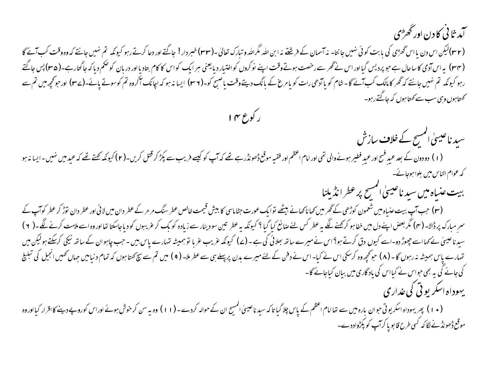۔<br>آمد <sup>ن</sup>ا ٹی کا دن اور ٹھڑ<sub>ی</sub>

(۳۲)لیکن اس دن یا اس گھڑی کی بابت کوئی نہیں جانتا۔ نہ آسمان کے فرشتے نہ ابن اللہ قرارک تعالیٰ۔(۳۳)خبر دار! جاگتے اور دعا کرتے رہو کیونکہ تم نہیں جانتے کہ وہ وقت کب آئے گا (۳۴) بیراس آدمی کاساحال ہے حو پردیس گیااور اس نے گھر سے رخصت ہوتے وقت اپنے نوکروں کو اختیار دیائی کواکا وار دربان کوحکم دیا کہ جاگتارہے۔(۳۵) پس جاگتے رہو کیونکہ تم نہیں جانتے کہ گھر کامالک کب آئے گا-شام کو یاآڑھی رات کو یا گھانا کے ایک نہ کہ ان کے اسک اور ان کے اس کے اسک اور حرکچھ میں تم سے کھتاہوں وہی سب سے کھتا ہوں کہ جاگتے رہو۔

ر کوع ۱۴

سید ناعیسیٰ المسح کے خلاف سازش (۱) دودون کے بعد عیدِ فسح اور عیدِ فطیر ہونے والی تھی اور اام اعظم اور فقیہ موقع ڈھوٹک کو سیسنے پکڑ کر قتل کریں۔(۲) کیونکہ کہتے کہ عید میں نہیں۔ایسا نہ ہو کہ عوام الناس میں بلواہوجائے۔

ببيت عنياه مين سيد ناعيسىٰ المسح پر عطر انڈيلنا

(۳) جب آپ بیت عنیاہ میں شعمون کوڑھی کے گھر میں کھاناکھانے بیٹھے توایک عورت جٹاماسی کا بیش قیمت *خاطر سنگ مر مر*کے عطر دان میں لائی اور عطر دان ق<del>د</del>ڑ کر عطر کوآپ کے سم مبارک پر ڈالا۔ (۴) مگر بعض اپنے دل میں خفا ہو کرکھنے لگے یہ عطر کیا گیا گیا گیا ہے۔ ان کے سام کرنے کے دویاجاسکتا تعااور وہ اسے ملامت کرنے لگے ۔ ( ۲ ) سید ناعیں نے کہااسے چھوڑ دو-اسے کیوں دق کرتے ہو؟اس نے میرے ساتھ بھلائی کی ہے - (ے) کیونکہ عزب تو ہمیشہ تہارے پاس بین - حب چاہوان کے ساتھ نیکی کرسکتے ہولیکن میں تہارے پاس ہمیشہ نہ رہوں گا۔ (۸) حوتحچہ وہ کرسکی اس نے کیا- اس نے دفن کے لئے میرے بدن پربیلے ہی سے اس تم سے سچ کھتا ہوں کہ تمام دنیا میں جہاں تھیں انجیل کی تبلیخ کی جائے گی یہ بھی حواس نے کیااس کی یاد گاری میں بیان کیاجائے گا -

یهوداه اسکر بوقی کی غداری

(۱۰) پھریہوداہ اسکریوتی حوان بارہ میں سے تھا امام اعظم کے پاس چلا گیا تاکہ سینے ان کے حوالہ کردے۔(۱۱) وہ یہ سن کرخوش ہوئے اوراس کوروپے دینے کااقرار کیااوروہ موقع ڈھونڈنے لگا کہ کسی طرح قابو پا کراپ کو پکڑواددے۔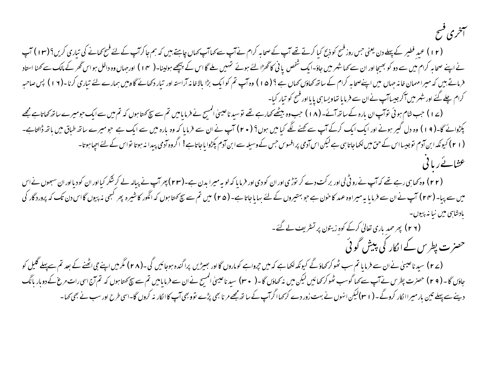# سمخرى فسح

(۱۲) عید فطیر کے پہلے دن یعنی جس روز فسح کوذبح کیا کرتے تھے آپ کے اس سے کہا آپ کہاں چاہتے ہیں کہ ہم جاکرآپ کے لئے فسح کھانے کی تیاری کریں؟(۱۲) آپ نے اپنے صحابہ کرام میں سے دو کو بھیجا اور ان سے کہا شہر میں جاؤ-ایک تشخص یا ٹی کان کے اچھے ہولینا۔( ۱۴ ) اورجہاں وہ داخل ہواس گھر کے مالک سے کہنا استاد فرماتے بیں کہ میرا مہمان خانہ جہاں میں اپنےصحابہ کرام کے ساتھ کھاؤں کہا جاتا تھ کہ کہ استرادر تیار دکھانے گاوبیں ہمارے لئے تیاری کرنا۔(١٩) پس صاحبہ کرام چلے گئے اور شہر میں آکر جیساآپ نےان سے فرمایا تھاویسا ہی پایااور فسح کو تیار کیا-

(ے ۱ ) حب شام ہوئی توآپ ان بارہ کے ساتھ آئے- (۱۸ ) حب وہ بیٹھے کھارہے تھے توسید ناعیسیٰ المسیح نے لیے سچ کھتا ہوں کہ تم میں سےایک حومیرے ساتھ کھاتاہے مجھے یکڑوائے گا-( 1 ) وہ دل گیر ہونے اور ایک ایک کرکے آپ سے <u>گھنے لگ</u>ے کیا میں ہوں؟ (+ r) آپ نے فرمایا کہ وہ بارہ میں سے ایک ہے جومیرے ساتھ طباق میں باتھ ڈالتاہے-(۲۱) کیونکہ ابن آدم توجیسااس کے حق میں لکھاجاتا ہی ہے لیکن اس آدمی پرافسوس جس کے وسیلہ سے ابن آدم پکڑوایاجاتاہے! اگروہ آدمی پیدا نہ ہوتا نواس کے لئے اجپاہوتا۔ عثائے ریا فی

(۲۲) وہ کھا ہی رہے تھے کہ آپ نے روٹی لی اور برکت دے کر نوڑی اور ان کو دی اور فرمایا کہ لو بدن ہے۔(۲۳) پھرآپ نے پیالہ لے کرشکر کیااور ان کودیااور ان سبھوں نےاس میں سے بیا- (۲۴) آپ نے ان سے فرمایا یہ میراوہ عہد کا خون ہے جو بہتیروں کے لئے بہایاجاتا ہے- (۲۵) میں تم سے پیچ کو تھر کسی نہ پیوں گااس دن تک کہ پروردگار کی یادشایی میں نیا نہ پیوں

(۲ ۲ ) پھر حمد باری تعالیٰ کرکے کوہ زیتون پر تسٹریف لے گئے۔ حصرت پطرس کے انکار کی پیش گوئی

(ے ۲) سید ناعیسیٰ نے ان سے فرمایا تم سب ٹھوکر کھاؤگے کیونکہ لکھا ہے کہ ماروں کا اور بھیڑیں پراگندہ ہوجائیں گی۔(۲۸) مگرمیں اپنے جی اٹھنے کے بعد تم سےپہلے گلیل کو جاؤں گا۔(۲۹) حصرت پطرس نے آپ سے کہا گوسب ٹھوکر کھائیں لیکن میں نہ کھاؤں گا-( ۳۰) سیدناعیسیٰ المسے خرمایامیں تم سے سچ کہتاہوں کہ تم آج اسی رات مرغ کے دوبار بانگ دینے سے پہلے تین بار میراا نکار کروگے - ( ۲ م)لیکن انہوں نے بہت زور دے کر <sub>ک</sub>ماا گرآپ کے ساتھ مجھے مر نا بھی پڑے تووبھی آپ کاا نکار نہ کروں گا-اسی طرح اور سب نے بھی کہا -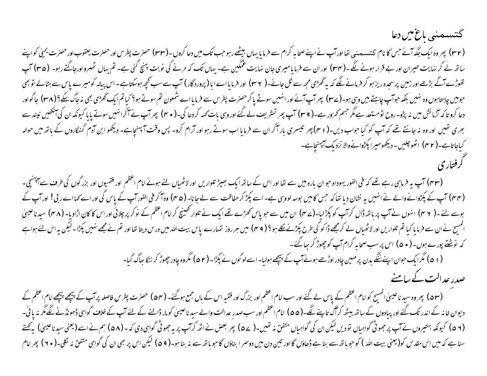#### گتسىمنى ماغ مىن دعا

(۳۲) پھروہ ایک جگہ آئے جس کا نام گتہ مصنبی تفااورآپ نے اپنے صحابہ کرام سے فرما یا بہاں بیٹھے رہوجب تیل دراس اور حضرت يعقوب اور حضرت يحيٰي کواپنے ساتھ لے کر نہایت حیران اور بے قرار ہونے لگے۔(rer) اور ان سے فرمایامیری جان نہایت عمکین ہے۔ پر اس کر بن پہنچ گئی ہے۔ تم یہاں ٹھہرواورجاگتے رہو۔ (re) آپ نھوڑے آگے بڑھے اور زمین پرسجدہ ریز ہو کر فرمانے لگے کہ یہ ٹھڑمی مجھ سے ٹل جا ( میں الے اس کے اس سے سے بھی جوسکتاہے۔اس پیالہ کومیرے پاس سے ہٹالے تو بھی حومیں چاہتاہوں وہ نہیں بلکہ حوآپ چاہتے ہیں وہی ہو۔(ے۳) پھرآپ آئے اور انہیں سوتے یا کرحصرت پطرس سے فرمایااے شمون تم سوتے ہو؟ کیاتم ایک گھڑی بھی نہ جاگ سکے؟(۳۸) جاگواور دعا کرو تاکہ آزمائش میں نہ پڑو- روح نومستعد ہے مگر جسم کمزور ہے۔( ۳۹) ہم کردعا کی۔(۳۰) ہم سے سے سن سائرانہیں سوتے پایا کیونکہ ان کی اینھیں نیندسے بھری تھیں اور وہ نہ جانتے تھے کہ آپ کو کیا حواب دیں۔( r ۱) پھر تیسری بارآکر ان سے فرمایا اب سوتے رہیں وقت آ پہنچاہے۔ دیکھو ابن آدم گنگاروں کے ہاتھ میں حوالہ کیاجاتاہے۔( r ۲) اٹھوچلیں۔دیکھومیرا پکڑوانےوالا نزدیک آپہنچاہے۔ كرفتاري

(۴۳) آپ یہ فرماہی رہے تھے کہ فی الفور یہوداہ حوان بارہ میں سے تعااور اس کے ساتھ ایک بھیڑ تلواریں اور اعظم اور فقهبوں اور بزرگوں کی طرف سے اپہنچی۔ (۴۴) آپ کے پکڑوانے والے نے انہیں یہ نشان دیا تھا کہ حس کامیں بوسہ لووہی ہے۔اسے پکڑ کر حفاظت سے لے ہاکر فی الفور آپ کے پاس گی اور اے کہااے ربی! اور آپ کے بوسے لئے ۔( ٣ ٢) انہوں نے آپ بر باتھ ڈال کرآپ کو پکڑلیا-(٣۷) ان میں سے حویاس کھڑے تھے ایک نے تلوار گھنیچ کرامام اعظم کے نوکر بر چلائی اور اس کا کان اڑادیا-(٣٨) سیدناعیں کا انمسح نے ان سے فرمایا کیا تم تلواریں اور لاٹھیاں لے کرمجھے ڈاکو کی طرح پکڑنے کو جس سر روز تارین میں دنیا تھا اور تم نے مجھے نہیں پکڑا۔لیکن یہ اس لئے ہواہے کہ نوشنے پورے ہوں۔ ( • ۵ ) اس پر سب صحابہ کرام آپ کو چھوڑ کر ہیا گئے۔ (۵۱) مگرایک حوان اپنے ننگے بدن پر مہین چادر اوڑھے ہوئے آپ کے پیچھے ہولیا۔اسے لوگوں نے بکڑا۔(۵۲) مگروہ چادر جھوڑ کر ننگا ہیاگ گیا-

صدر عدالت کے سامنے

(۵۳) پھر وہ سید ناعیسٰی انمسیح کوامام اعظم کے پاس لے گئے اور سب امام اعظم اور بزرگ اور فقیہ اس سے جس اعلم براہ کے پہنچے انگرام اعظم کے دیوان خانہ کے اندر تک گئے اور پیادوں کے ساتھ بیٹھ کرآگ تاپنے لگے۔(۵۵) امام اعظم اور سب صدر عدالت ساعیسیٰ کومار ڈالنے کے لئے آپ کے خلاف گواہی ڈھونڈنے لگے مگر نہ یا ئی۔ (۵۲ ) کیونکہ بہتیروں نے آپ برجھوٹی گواہیاں تو دیں لیکن ان کی گواہیاں متفق نہ تھیں۔( ۵۷ ) پر پہ جوٹی گواہی دی کہ - (۵۸) ہم نے اسے (یعنی سید ناعیسیٰ) یہ پھتے سنا ہے کہ میں اس مقدس کو(یعنی بیت اللہ ) کو حو ہاتھ سے بنا ہے ڈھاؤں گا اور تین دن میں ات ہر اس کو بھی ان کی گواہی متفق نہ لکل۔( ۲۰ ) پھر امام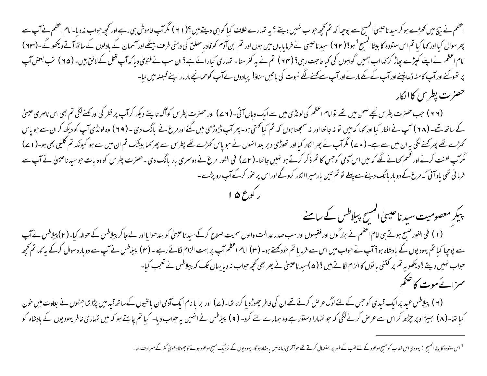اعظم نے بیچ میں کھڑے ہو کر سید ناعیسیٰ المسیح سے پوچیا کہ تم تحمیر حواب شہیں ہے۔ اس کی ایک میں سے اور تحمیر حراب مذد یا-امام اعظم نے آپ سے بھر سوال کیااور <sub>ک</sub>ہا کیا تم اس ستودہ کا بیٹاالمسیح<sup>1</sup> ہو! ( ۲۲ ) سید ناعیش بیل ہوں اور تم ابن آدم کو قادرِ مطلق کی دہنی طرف بیٹھے اور آسمان کے بادلوں کے ساتھ آتے دیکھوٹے۔(۲۳ ) امام اعظم نے اپنے کپڑے پھاڑ کر کہااب ہمیں گواہوں کی کیاحاجت رہی؟ (۲۴ ) تم نے یہ گفرسنا۔ تہارائے ہے؟ ان سب نے فتوی دیاکہ آپ تعل کےلائن بیں۔ (۲۵ ) تب بعض آپ پر تھوکنے اور آپ کامنہ ڈھانپنے اور آپ کے مکے مارنے اور آپ سے کہنے لگے نبوت کی باتیں سناؤ! پیادوں نے آپ کوطمانچے مار مار اپنے قبصہ میں لیا-حصرت پطرس کاالکار

(۲۲) حب حصرت بطرس نیچے صحن میں تھے توامام اعظم کی لونڈی میں سے ایک وباں آئی۔ (۷۷) اور حصرت بطرس کواگ تاپتے دیکھ کرآپ پر نظر کی اور کھنے لگی تم بھی اس ناصری عیسیٰ کے ساتھ تھے۔ (۲۸) آپ نے اکار کیا اور کہا کہ میں تو نہ جا نتا اور نہ سمجھتا ہوں کہ توسیر پر حالت کے بانگ دی۔ (۲۹) وہ لونڈی آپ کو دیکھ کران سے حویاس کھڑے تھے پھر کھنےلگی یہ ان میں سے ہے۔ ( • ے) مگرآپ نے پھر انکار کیااور تھوڑی دیر بعد اس کھڑے تھے پھر کھا بیشک تم ان میں سے ہو کیونکہ تم گلیلی بھی ہو۔( ۱ ے) گُرآپ لعنت کرنے اور قسم کھانے لگے کہ میں اس آدمی کوجس کا تم ذکر کرتے ہو نہیں جا نتا۔ ( c ۲ ) فورسری بار بانگ دی۔حضرت پطرس کووہ بات حوسید ناعیسیٰ نے آپ سے فرمائی تھی یاد آئی کہ مرغ کے دوبار بانگ دینے سے پہلے تو تم تین بار میراالکار کروگے اور اس پر عور کرکے آپ رو پڑے۔ بوع ۱۵

پبکر معصومیت سید ناعیسیٰ انمسح پیلاطس کے سامنے

(۱) فی الفور صبح ہوتے ہی امام اعظم نے بزرگوں اور فقیہوں اور سب صدر عدالت والوں سمیت صلاح کرکے سید ناعیسی کو بندھوایا اور لے جا کر پیلاطس نے حوالہ کیا۔(۲) پیلاطس نے آپ سے پوچیا کیا تم یہودیوں کے بادشاہ ہو؟ آپ نے حواب میں اس سے فرمایا تم خودکھتے ہو۔ (۳) اسکر اسک نے کہا ہال س نے آپ سے دوبارہ سوال کرکے یہ کہا تم تحجھ حواب نہیں دیتے ؟ دیکھو یہ تم پر کتنی باتوں کاالزام لگاتے ہیں ؟ ( ۵)سید ناعیسیٰ نے پھر بھی کجھ حواب نہ دیا یہاں تک کہ بیلاطس نے تعجب کیا-سمزائے موت کا ضخم

(۲) پیلاطس عید پرایک قیدی کوحس کے لئے لوگ عرص کرتے تھے ان کی خاطر چھوڑد یا کرتا تھا-(۷) اور برابا نام ایک آدمی ان باعنیوں کے ساتھ قید میں پڑا تھاجنہوں نے بغاوت میں خون کیا تھا-(۸) بھیڑاوپر جڑھ کراس سے عرص کرنے لگی کہ حو تہارا دستور ہے وہ ہمارے لئے کرو- (۹) ہیلاطس نے انہیں یہ چاہے اس کے حارث کی عاطر یہودیوں کے بادشاہ کو

<sup>1</sup> اس ستودہ کا بیٹاالمسح : یہودی اس خطاب کومسح موعود کے لئے لئے بار اس کرتے تھے حواتش میں بادشاہ ہوگا۔ یہودیوں کے نزدیک مسح موعود ہونے کاحصوطادعویٰ کفر کے مترادف تعا-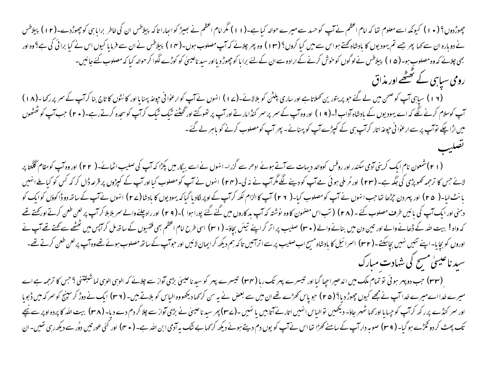جھوڑدوں؟ ( • ۱ ) کیونکہ اسے معلوم تھا کہ امام اعظم نے آپ کو حسد سے میرے حوالہ کیا ہے۔( ۱ ) ) مگر اس کا والعالہ بیلاطس ان کی خاطر برابا ہی کو جھوڑدے۔( ۲ ا ) بیلاطس<br>جھوڑدوں؟ ( • ۱ ) کیونکہ اسے معلوم تھا کہ امام اعظم نے آپ ک نے دوبارہ ان سے کہا پھر جسے تم یہودیوں کا بادشاہ کھتے ہو اس سے میں کہ اور پھر چلائے کہ آپ اسے اس سے اس سے خرما یا کیوں اس نے کیا برائی کی ہے؟ وہ اور بھی چلائے کہ وہ مصلوب ہو۔( ۵ ۱ ) پیلاطس نے لوگوں کو خوش کرنے کے ارادہ سے ان کے لئے برا با کو چھوڑ دیااور سید ناعیسیٰ کو کوڑے لگوا کر حوالہ کیا کہ مصلوب کئے جائیں۔ رومی سیاہی کے تحقیقے اور مذاق

(۱۶) سیاہی آپ کو صحن میں لے گئے حو پریتورین کھلاتاہے اور ساری پلٹن کو بلالائے-(۱۷) انہوں نے آپ کوارعوانی حیوغہ پہنایا اور کا نٹوں کا تاج بنا کرآپ کے سمر پر رکھا-(۱۸) آپ کوسلام کرنے لگے کہ اسے یہودیوں کے بادشاہ آداب!۔( ۹ ا ) اور وہ آپ کے سمر پر سمر کنڈامارتے اور گھنٹے ٹیگ ٹیگ گرآپ کو کرنے رہے۔( ۲۰ ) جب آپ کو ٹھٹھوں میں اڑا چکے نوآپ پر سے ارعوا نی حیوعہ اتار کرآپ ہی کے کیپڑے آپ کو پہنانے ۔ پھر آپ کومصلوب کرنے کو ماہر لے گئے ۔

(۲۱)شعون نام ایک کرینی آدمی سکندر اور روفس کووالد دیہات سے آتے ہوئے ادھرسے گزرا۔انہوں نے اسے بیگار میں پکڑا کہ آپ کی صلیب اٹھائے۔( ۲۲) اور وہ آپ کومقام گلگتا پر لائے جس کا ترجمہ تھوپڑی کی جگہ ہے۔ (۲۳) اور مُر ملی ہوئی ہے آپ کو دینے لگے گرآپ (۲۴) انہوں نے آپ کومصلوب کیااورآپ کے کپڑوں پر قرعہ ڈال کر کہ کس کو کیا ملے انہیں بانٹ لیا-( ۲۵) اور بہر دن جڑھا تعاجب انہوں نے آپ کومصلوب کیا-( ۲۲) آپ کاالزام لکھ کرآپ کے اوپر لگادیا گیا کہ یہود یوں کا بادشا(۲۷) انہوں نے آپ کے ساتھ دوڈا کوؤں کوایک کو دہنی اور ایک آپ کی بائیں طرف مصلوب کئے ۔ ( ۲ ۸ ) ( تب اس مصمون کا وہ نوشتہ کہ آپ بد کاروں کے لیوار اوچلنے والے سمر بلاہلا کر آپ پر لعن طعن کرتے اور محتے تھے کہ واہ! بیت اللہ کے ڈھانے والے اور تین دن میں بنانے والے ( ۳۰) صلیب پراتر کراپنے تیئں بچاؤ۔ ( ۳۱) اس طرح امام اعظم بھی فقہیوں کے ساتھ مل کراپس میں تھٹھے سے کہتے تھے آپ نے اوروں کو بچایا-اپنے تئیں نہیں بچاسکتے۔( ۳۲) اسرائیل کا بادشاہ مسیح اب صلیب پرسےاترائیں تاکہ بالار الکیں اور حواب بورے سے وہ آپ پرلعن طعن کرتے تھے۔ سید ناعیسیٰ مسح کی شہادت مبارک

(۳۳) حب دو پہر ہوئی تو تمام ملک میں اندھیراجپا گیا اور تیسرے پہر تک رہا (۳۴) تیسرے پہر کو سیدناعیسیٰ بطائے تک الوہی الوہی لماشبقتنی ؟حس کا ترجمہ ہے اے میرے خدااےمیرے خدا آپ نے مجھے کیوں چھوڑ دیا؟ (۴۵) حویاس *کھڑے تھے* ان میں سے بعض نے یہ <sup>س</sup>ن کرکھا دیکھووہ الیاس کو بلاتے ہیں۔ (۳۶) ایک نے دوڑ کرسپنج کوسر کہ میں ڈبویا اور سمر کنڈے پرر کھ کرآپ کو جہایااور کہا ٹھہر جاؤ- دیکھیں توالیاس انہیں اناارنےآتابیں ۔(۳۷) ہیں اور سے چلا کردم دے دیا- (۳۸) بیت اللہ کا بردہ اوپر سے نیچے تک پھٹ کردو ٹکڑے ہوگیا۔ ( ۳۹) صوبہ دارآپ کے سامنے کھڑا تھااس نےآپ کو یوں دم دیتے ہوئے دیکھ کرکہا بے تقوں ابن اللہ ہے۔ ( ۴۰) اور کئی عورتیں دوُرسے دیکھ رہی تھیں۔ان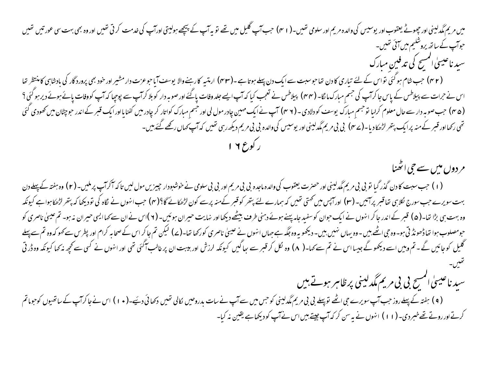میں مریم مگدلینی اور چھوٹے یعقوب اور یوسیس کی والدہ مریم اور سلومی تھیں۔( r ۱) حب ایک تعلیم کی سلنے اور ایک کی خدمت کرتی تھیں اور وہ بھی بہت سی عورتیں تھیں حواب کے ساتھ پروشلیم میں ائی تھیں۔ سىد ناغىيىي المسح كى تدفين مبارك (۴۲) حب شام ہو گئی تواس کے لئے تیاری کا دن تھاحوسبت سے ایک دن پہلے ہوتا ہے ۔(۴۳) ارمنیہ کارہنےوالا یوسف آیاحوعزت دار مشیر اور خود بھی پرورد گار کی بادشاہی کامنتظر تھا اس نے حرات سے پیلاطس کے پاس جا کرآپ کی جسم مبارک مالگا- (۴۴) پیلاطس نے تعجب کیا کہ آپ کے اور صوبہ دار کوبلا کرآپ سے پوچیا کہ آپ کووفات یائے ہوئے دیرہوگئی ؟ ( ۴۵ ) حب صوبہ دار سے حال معلوم کرلیا توجیم مبارک یوسف کو دلادی۔ ( ۲ ۴) آپ نے ایک مہین چادر حب مبارک کواتار کر چادرمیں کفنایااور ایک قبر کے اندر حوچٹان میں کھودی کئی تھی رکھااور قبر کے منہ پرایک پتھر لڑھکا دیا۔(ے مہ) بی بی مریم مگدلینی اور یوسیس کی والدہ بی بی ریم دیکھ رہی تھیں کہ آپ کہاں رکھے گئے ہیں۔

مر دوں میں سے حی اٹھنا

(۱) حب سبت کا دن گذر گیا تو بی بی مریم مگدلینی اور حصرت یعقوب کی والده ماجده بی بی رور بی بی سامر سی ای کرائب پرملیں۔(۲) وہ ہفتہ کے پہلے دن بہت سویرے جب سورج نکلاہی تفاقیر پرآئیں۔(۳) اورآپس میں کمتی تھیں کہ ہمارے لئے پتھر کوفیہر کےمنہ پرسے کون (۴) جب انہوں نے نگاہ کی تودیکھا کہ پتھرلڑھکاہواہے کیونکہ وہ بہت ہی بڑا تھا۔( ھ) قبر کےاندر جاکر انہوں نے ایک حوان کوسفید جاہ پہنے ہوئے دیکھا اور نہایت حیران ہوئیں۔( ۲ )اس نے ان سے کہاایسی حیران نہ ہو۔ تم عیسیٰ ناصری کو حومصلوب ہوا تھاڈھونڈ تی ہو۔وہ جی اٹھے بیں ۔وہ بہاں نہیں،میں۔ دیکھو یہ وہ جگہ ہے جاں ناصری کورکھا تھا۔(ے) لیکن تم جاکر اس کے صحابہ کرام اور پطرس سے کہو کہ وہ تم سے پہلے گلیل کوجائیں گے۔تم وہیں اسے دیکھوگے جیسا اس نے تم سے کہا-( ۸) وہ لکل کر قبر سے ساکنی اور ہیں۔ان پر غالب آگئی تھی اور انهوں نے کسی سے کجھ نہ کہا کیونکہ وہ ڈر تی

سید ناعیسیٰ انمسج بی بی مریم مگدلینی پرظاہر ہوتے ہیں

(۹) ہفتہ کے پہلے روز حب آپ سویرے جی اٹھے توپہلے بی بی مریم مگدلینی کو حس میں سے آپ سے براد تک توسیح (۰۱) اس نے جاکرآپ کے ساتھیوں کوحوماتم کرتے اور روتے تھے خبر دی۔ (۱۱) انہوں نے یہ سن کر کہ آپ جیتے بیں اس نے آپ کو دیکھاہے یقین نہ کیا۔